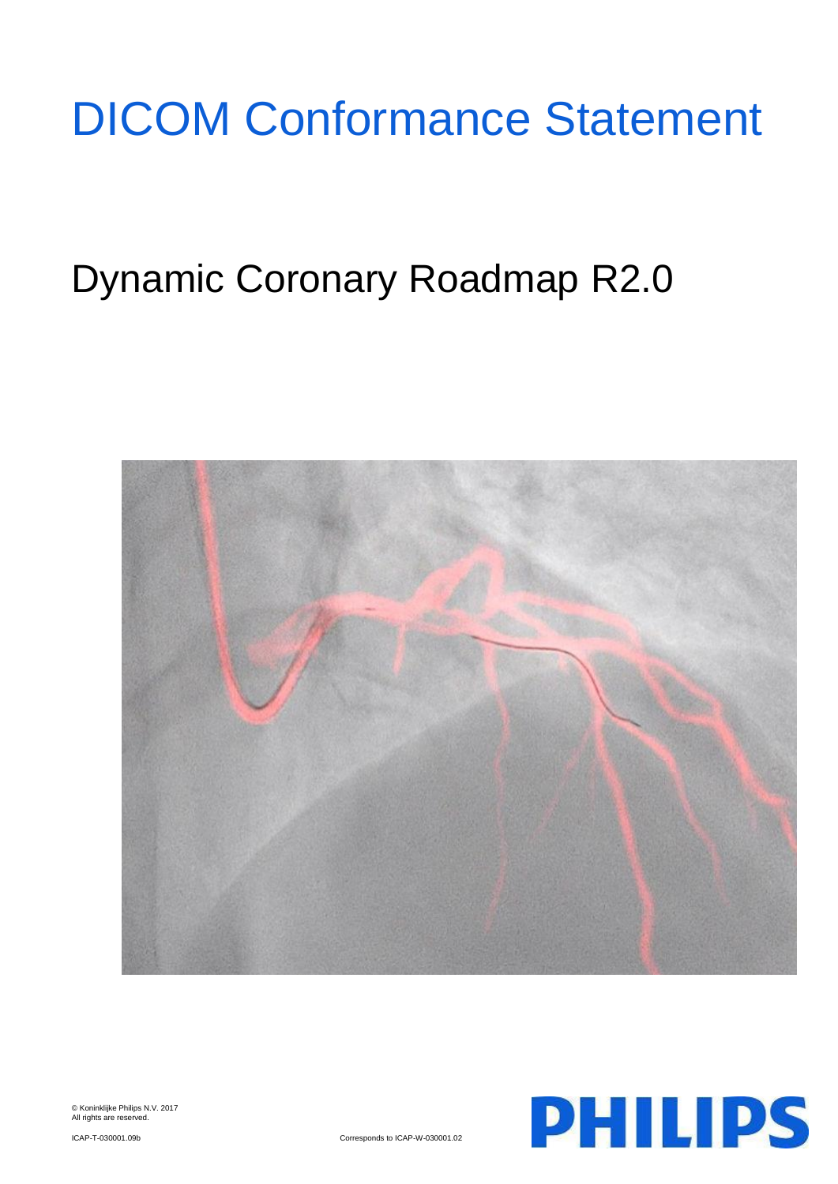# DICOM Conformance Statement

# Dynamic Coronary Roadmap R2.0



© Koninklijke Philips N.V. 2017 All rights are reserved.



ICAP-T-030001.09b Corresponds to ICAP-W-030001.02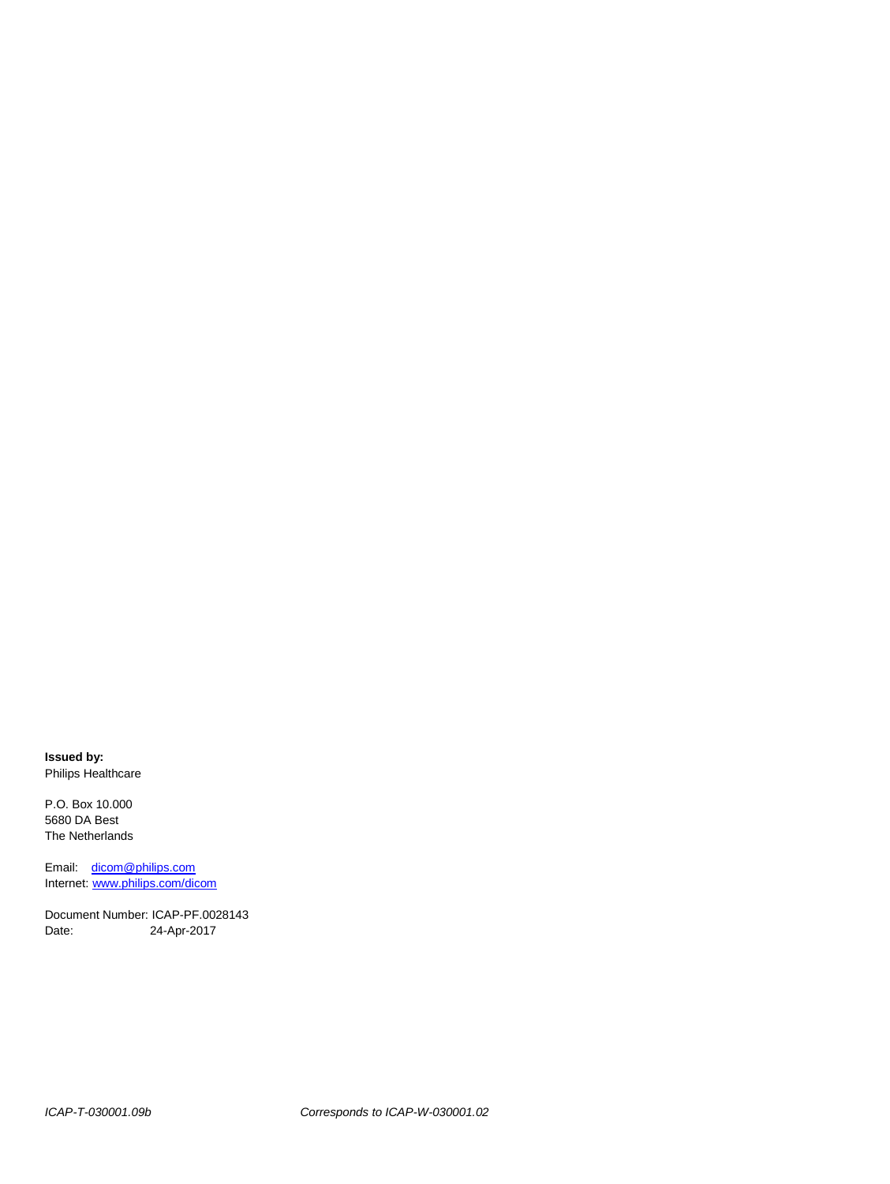**Issued by:** Philips Healthcare

P.O. Box 10.000 5680 DA Best The Netherlands

Email: [dicom@philips.com](mailto:dicom@philips.com) Internet: www.philips.com/dicom

Document Number: ICAP-PF.0028143 Date: 24-Apr-2017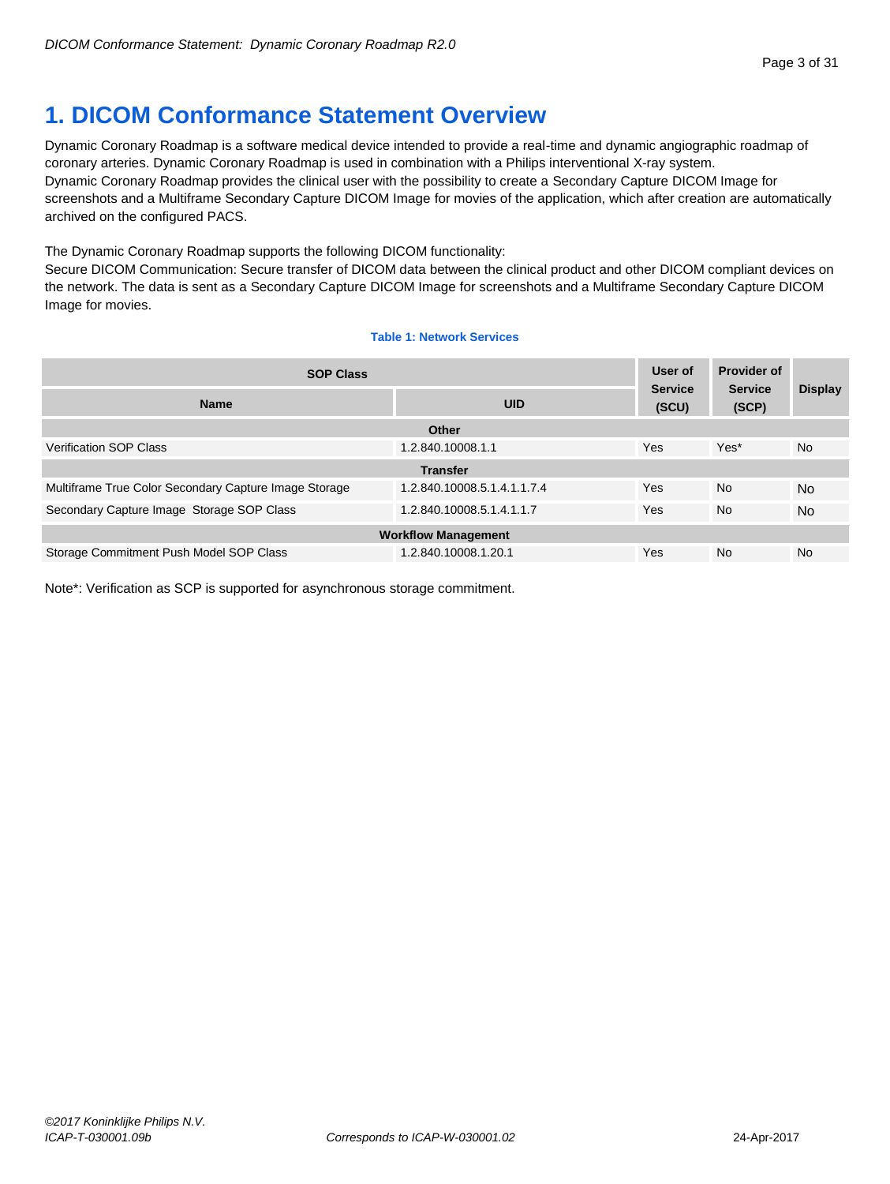# <span id="page-2-0"></span>**1. DICOM Conformance Statement Overview**

Dynamic Coronary Roadmap is a software medical device intended to provide a real-time and dynamic angiographic roadmap of coronary arteries. Dynamic Coronary Roadmap is used in combination with a Philips interventional X-ray system. Dynamic Coronary Roadmap provides the clinical user with the possibility to create a Secondary Capture DICOM Image for screenshots and a Multiframe Secondary Capture DICOM Image for movies of the application, which after creation are automatically archived on the configured PACS.

The Dynamic Coronary Roadmap supports the following DICOM functionality:

Secure DICOM Communication: Secure transfer of DICOM data between the clinical product and other DICOM compliant devices on the network. The data is sent as a Secondary Capture DICOM Image for screenshots and a Multiframe Secondary Capture DICOM Image for movies.

# **Table 1: Network Services**

| <b>SOP Class</b>                                      |                             | User of                 | <b>Provider of</b>      |                |
|-------------------------------------------------------|-----------------------------|-------------------------|-------------------------|----------------|
| <b>Name</b>                                           | <b>UID</b>                  | <b>Service</b><br>(SCU) | <b>Service</b><br>(SCP) | <b>Display</b> |
|                                                       | Other                       |                         |                         |                |
| <b>Verification SOP Class</b>                         | 1.2.840.10008.1.1           | Yes                     | Yes*                    | <b>No</b>      |
|                                                       | <b>Transfer</b>             |                         |                         |                |
| Multiframe True Color Secondary Capture Image Storage | 1.2.840.10008.5.1.4.1.1.7.4 | Yes                     | <b>No</b>               | <b>No</b>      |
| Secondary Capture Image Storage SOP Class             | 1.2.840.10008.5.1.4.1.1.7   | Yes                     | <b>No</b>               | <b>No</b>      |
| <b>Workflow Management</b>                            |                             |                         |                         |                |
| Storage Commitment Push Model SOP Class               | 1.2.840.10008.1.20.1        | Yes                     | <b>No</b>               | <b>No</b>      |

Note\*: Verification as SCP is supported for asynchronous storage commitment.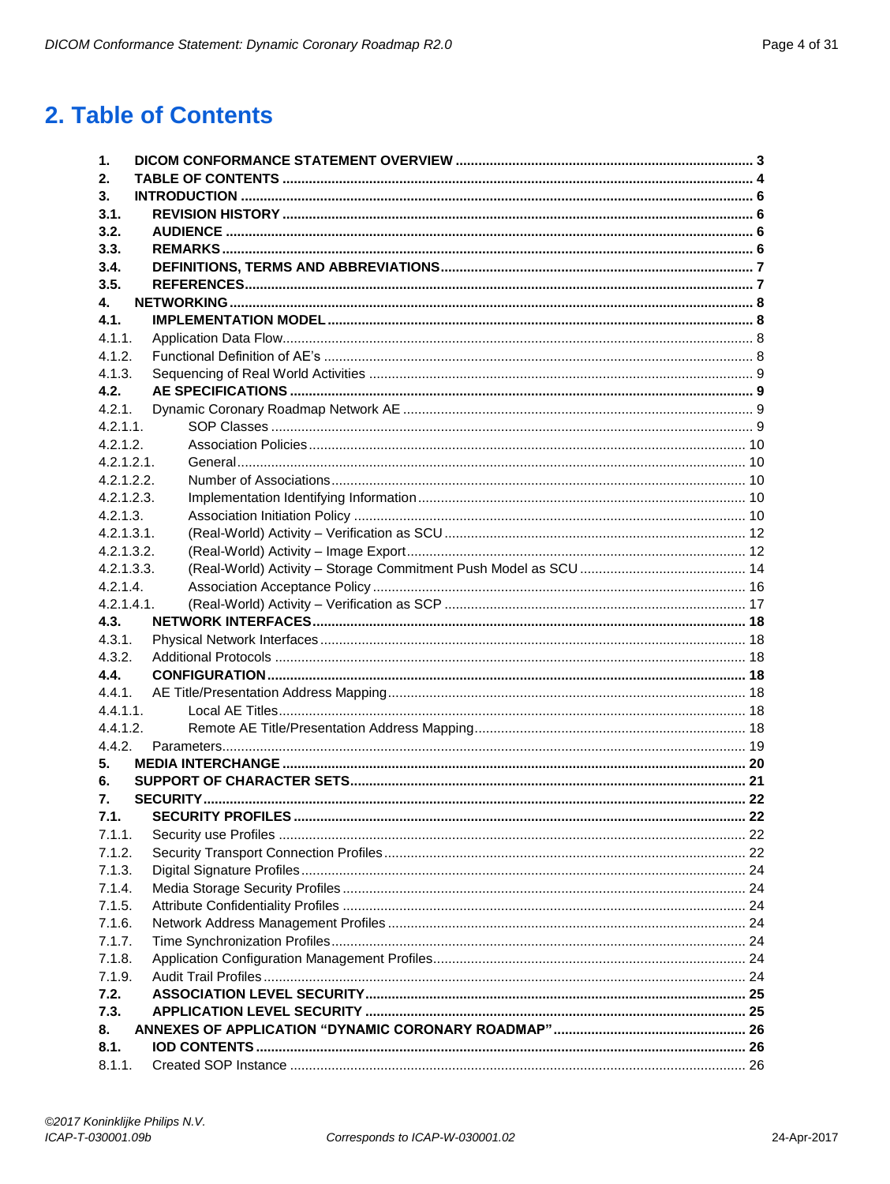# <span id="page-3-0"></span>2. Table of Contents

| 1.            |  |
|---------------|--|
| 2.            |  |
| 3.            |  |
| 3.1.          |  |
| 3.2.          |  |
| 3.3.          |  |
| 3.4.          |  |
| 3.5.          |  |
| 4.            |  |
| 4.1.          |  |
| 4.1.1.        |  |
| 4.1.2.        |  |
| 4.1.3.        |  |
| 4.2.          |  |
| 4.2.1.        |  |
| 4.2.1.1       |  |
| 4.2.1.2.      |  |
| 4.2.1.2.1.    |  |
| 4.2.1.2.2.    |  |
| 4.2.1.2.3.    |  |
| 4.2.1.3.      |  |
| 4.2.1.3.1.    |  |
| 4.2.1.3.2.    |  |
| 4.2.1.3.3.    |  |
| 4.2.1.4.      |  |
| $4.2.1.4.1$ . |  |
| 4.3.          |  |
| 4.3.1.        |  |
| 4.3.2.        |  |
| 4.4.          |  |
| 4.4.1.        |  |
| 4.4.1.1.      |  |
| 4.4.1.2.      |  |
| 4.4.2.        |  |
| 5.            |  |
| 6.            |  |
| 7.            |  |
| 7.1.          |  |
| 7.1.1.        |  |
| 7.1.2.        |  |
| 7.1.3.        |  |
| 7.1.4.        |  |
| 7.1.5.        |  |
| 7.1.6.        |  |
| 7.1.7.        |  |
| 7.1.8.        |  |
| 7.1.9.        |  |
| 7.2.          |  |
| 7.3.          |  |
| 8.            |  |
| 8.1.          |  |
| 8.1.1.        |  |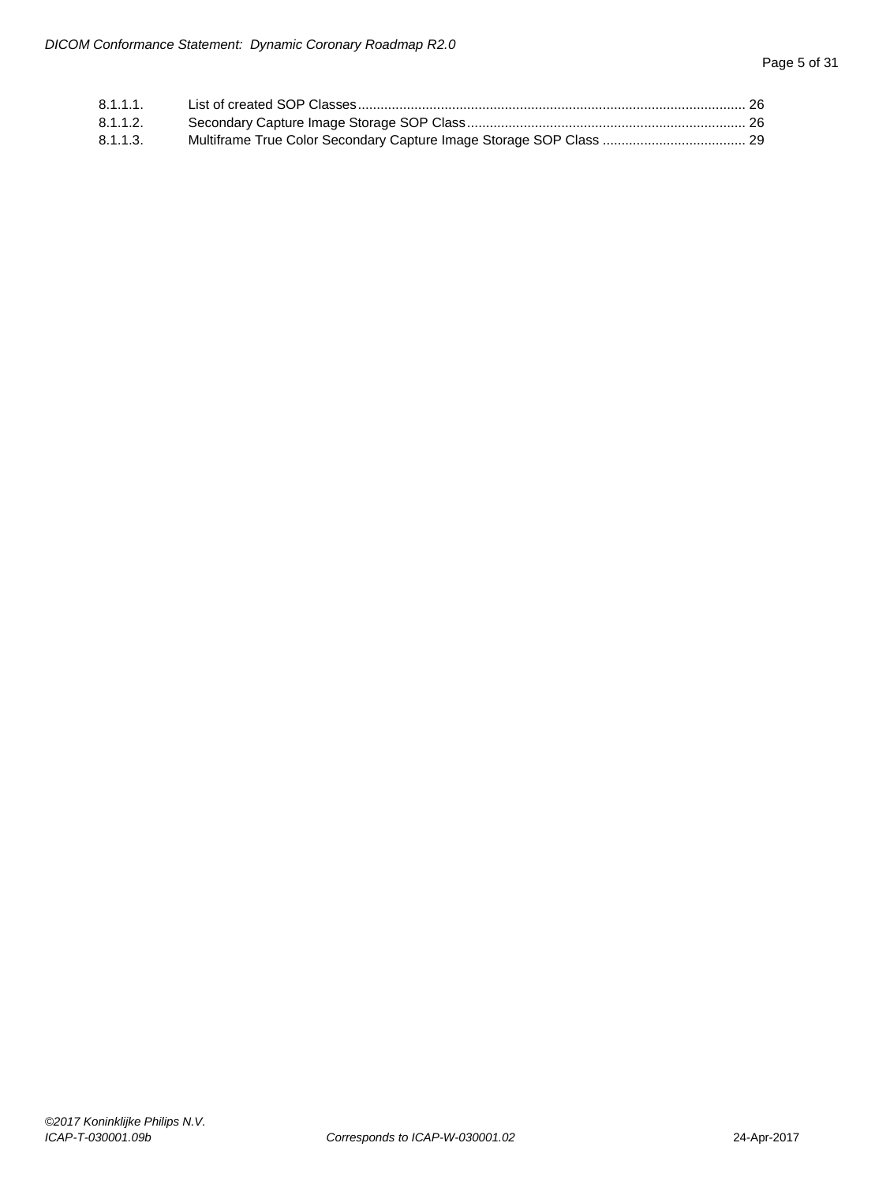| $8.1.1.1$ . |  |
|-------------|--|
| $8.1.1.2$ . |  |
| 8.1.1.3.    |  |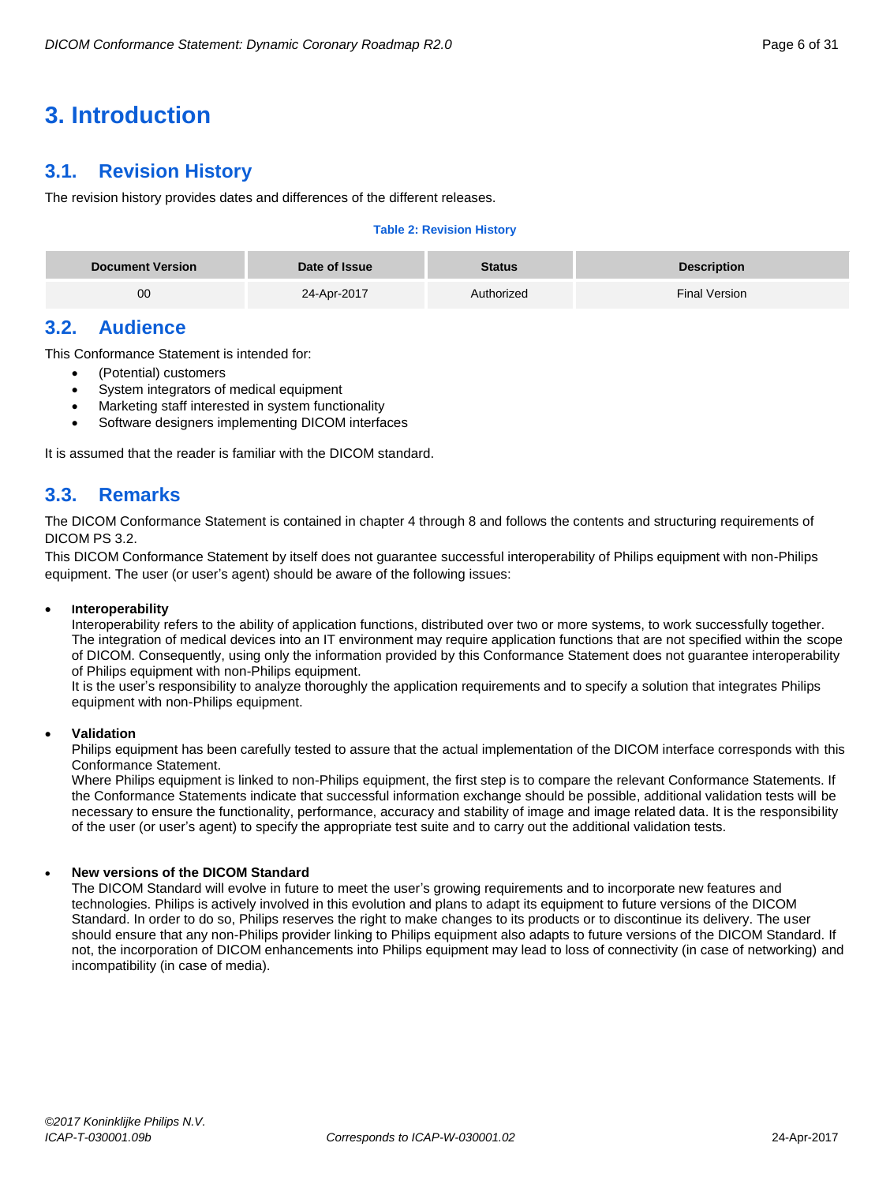# <span id="page-5-0"></span>**3. Introduction**

# <span id="page-5-1"></span>**3.1. Revision History**

The revision history provides dates and differences of the different releases.

# **Table 2: Revision History**

| <b>Document Version</b> | Date of Issue | Status     | <b>Description</b>   |
|-------------------------|---------------|------------|----------------------|
| 00                      | 24-Apr-2017   | Authorized | <b>Final Version</b> |

# <span id="page-5-2"></span>**3.2. Audience**

This Conformance Statement is intended for:

- (Potential) customers
- System integrators of medical equipment
- Marketing staff interested in system functionality
- Software designers implementing DICOM interfaces

It is assumed that the reader is familiar with the DICOM standard.

# <span id="page-5-3"></span>**3.3. Remarks**

The DICOM Conformance Statement is contained in chapter 4 through 8 and follows the contents and structuring requirements of DICOM PS 3.2.

This DICOM Conformance Statement by itself does not guarantee successful interoperability of Philips equipment with non-Philips equipment. The user (or user's agent) should be aware of the following issues:

# **Interoperability**

Interoperability refers to the ability of application functions, distributed over two or more systems, to work successfully together. The integration of medical devices into an IT environment may require application functions that are not specified within the scope of DICOM. Consequently, using only the information provided by this Conformance Statement does not guarantee interoperability of Philips equipment with non-Philips equipment.

It is the user's responsibility to analyze thoroughly the application requirements and to specify a solution that integrates Philips equipment with non-Philips equipment.

# **Validation**

Philips equipment has been carefully tested to assure that the actual implementation of the DICOM interface corresponds with this Conformance Statement.

Where Philips equipment is linked to non-Philips equipment, the first step is to compare the relevant Conformance Statements. If the Conformance Statements indicate that successful information exchange should be possible, additional validation tests will be necessary to ensure the functionality, performance, accuracy and stability of image and image related data. It is the responsibility of the user (or user's agent) to specify the appropriate test suite and to carry out the additional validation tests.

# **New versions of the DICOM Standard**

The DICOM Standard will evolve in future to meet the user's growing requirements and to incorporate new features and technologies. Philips is actively involved in this evolution and plans to adapt its equipment to future versions of the DICOM Standard. In order to do so, Philips reserves the right to make changes to its products or to discontinue its delivery. The user should ensure that any non-Philips provider linking to Philips equipment also adapts to future versions of the DICOM Standard. If not, the incorporation of DICOM enhancements into Philips equipment may lead to loss of connectivity (in case of networking) and incompatibility (in case of media).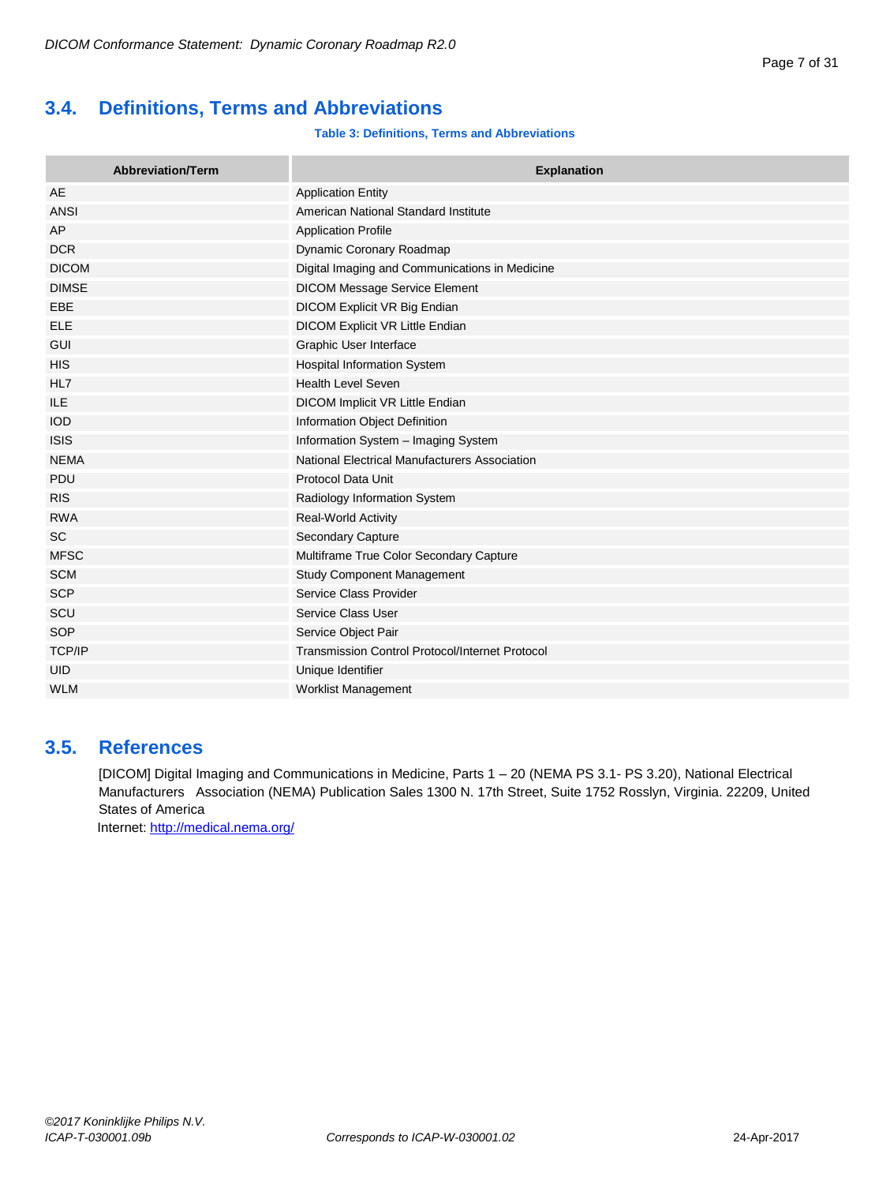# <span id="page-6-0"></span>**3.4. Definitions, Terms and Abbreviations**

# **Table 3: Definitions, Terms and Abbreviations**

| <b>Abbreviation/Term</b> | <b>Explanation</b>                                     |
|--------------------------|--------------------------------------------------------|
| AE                       | <b>Application Entity</b>                              |
| <b>ANSI</b>              | American National Standard Institute                   |
| AP                       | <b>Application Profile</b>                             |
| <b>DCR</b>               | Dynamic Coronary Roadmap                               |
| <b>DICOM</b>             | Digital Imaging and Communications in Medicine         |
| <b>DIMSE</b>             | <b>DICOM Message Service Element</b>                   |
| EBE                      | DICOM Explicit VR Big Endian                           |
| <b>ELE</b>               | DICOM Explicit VR Little Endian                        |
| <b>GUI</b>               | Graphic User Interface                                 |
| <b>HIS</b>               | Hospital Information System                            |
| HL7                      | <b>Health Level Seven</b>                              |
| <b>ILE</b>               | DICOM Implicit VR Little Endian                        |
| <b>IOD</b>               | Information Object Definition                          |
| <b>ISIS</b>              | Information System - Imaging System                    |
| <b>NEMA</b>              | National Electrical Manufacturers Association          |
| PDU                      | <b>Protocol Data Unit</b>                              |
| <b>RIS</b>               | Radiology Information System                           |
| <b>RWA</b>               | <b>Real-World Activity</b>                             |
| <b>SC</b>                | <b>Secondary Capture</b>                               |
| <b>MFSC</b>              | Multiframe True Color Secondary Capture                |
| <b>SCM</b>               | <b>Study Component Management</b>                      |
| <b>SCP</b>               | Service Class Provider                                 |
| SCU                      | Service Class User                                     |
| <b>SOP</b>               | Service Object Pair                                    |
| TCP/IP                   | <b>Transmission Control Protocol/Internet Protocol</b> |
| <b>UID</b>               | Unique Identifier                                      |
| <b>WLM</b>               | Worklist Management                                    |

# <span id="page-6-1"></span>**3.5. References**

[DICOM] Digital Imaging and Communications in Medicine, Parts 1 – 20 (NEMA PS 3.1- PS 3.20), National Electrical Manufacturers Association (NEMA) Publication Sales 1300 N. 17th Street, Suite 1752 Rosslyn, Virginia. 22209, United States of America

Internet[: http://medical.nema.org/](http://medical.nema.org/)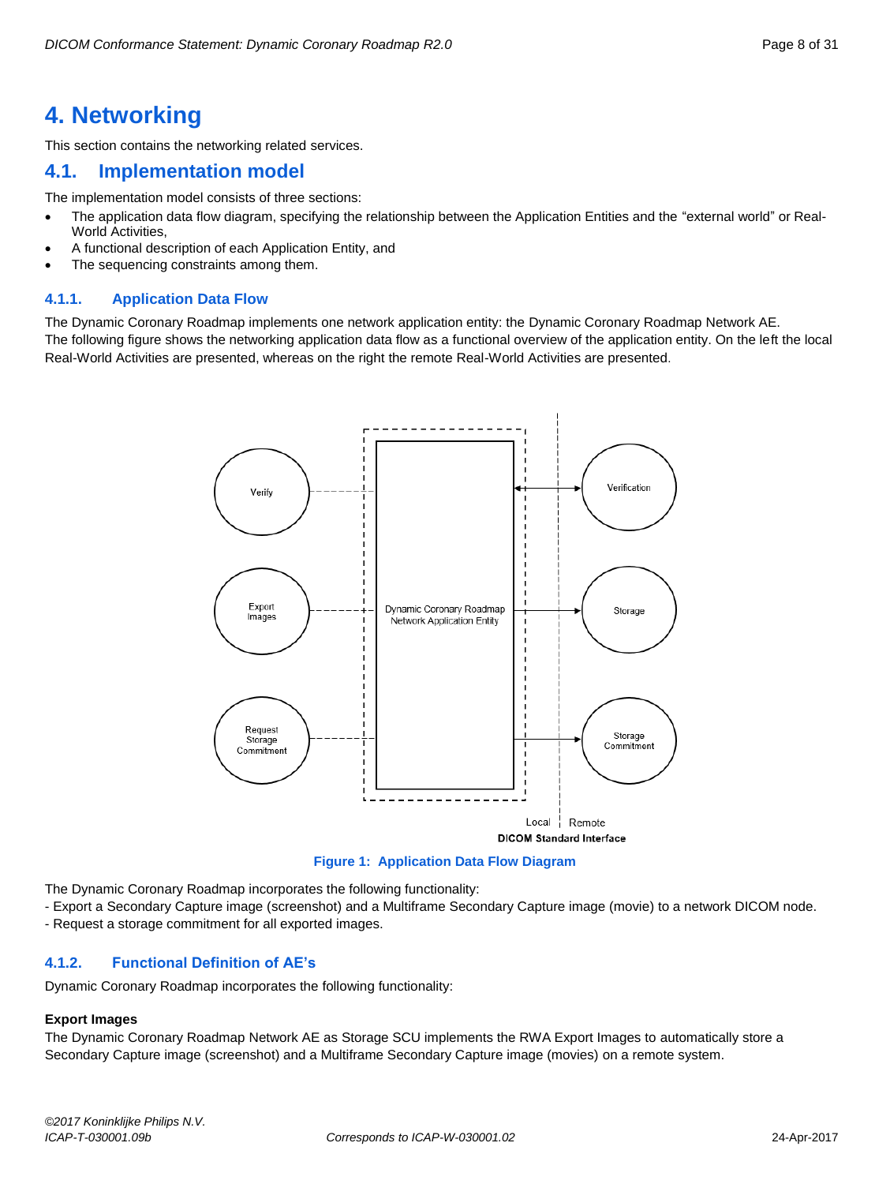# <span id="page-7-0"></span>**4. Networking**

This section contains the networking related services.

# <span id="page-7-1"></span>**4.1. Implementation model**

The implementation model consists of three sections:

- The application data flow diagram, specifying the relationship between the Application Entities and the "external world" or Real-World Activities,
- A functional description of each Application Entity, and
- The sequencing constraints among them.

# <span id="page-7-2"></span>**4.1.1. Application Data Flow**

The Dynamic Coronary Roadmap implements one network application entity: the Dynamic Coronary Roadmap Network AE.

The following figure shows the networking application data flow as a functional overview of the application entity. On the left the local Real-World Activities are presented, whereas on the right the remote Real-World Activities are presented.



**Figure 1: Application Data Flow Diagram**

The Dynamic Coronary Roadmap incorporates the following functionality:

- Export a Secondary Capture image (screenshot) and a Multiframe Secondary Capture image (movie) to a network DICOM node.

- Request a storage commitment for all exported images.

# <span id="page-7-3"></span>**4.1.2. Functional Definition of AE's**

Dynamic Coronary Roadmap incorporates the following functionality:

# **Export Images**

The Dynamic Coronary Roadmap Network AE as Storage SCU implements the RWA Export Images to automatically store a Secondary Capture image (screenshot) and a Multiframe Secondary Capture image (movies) on a remote system.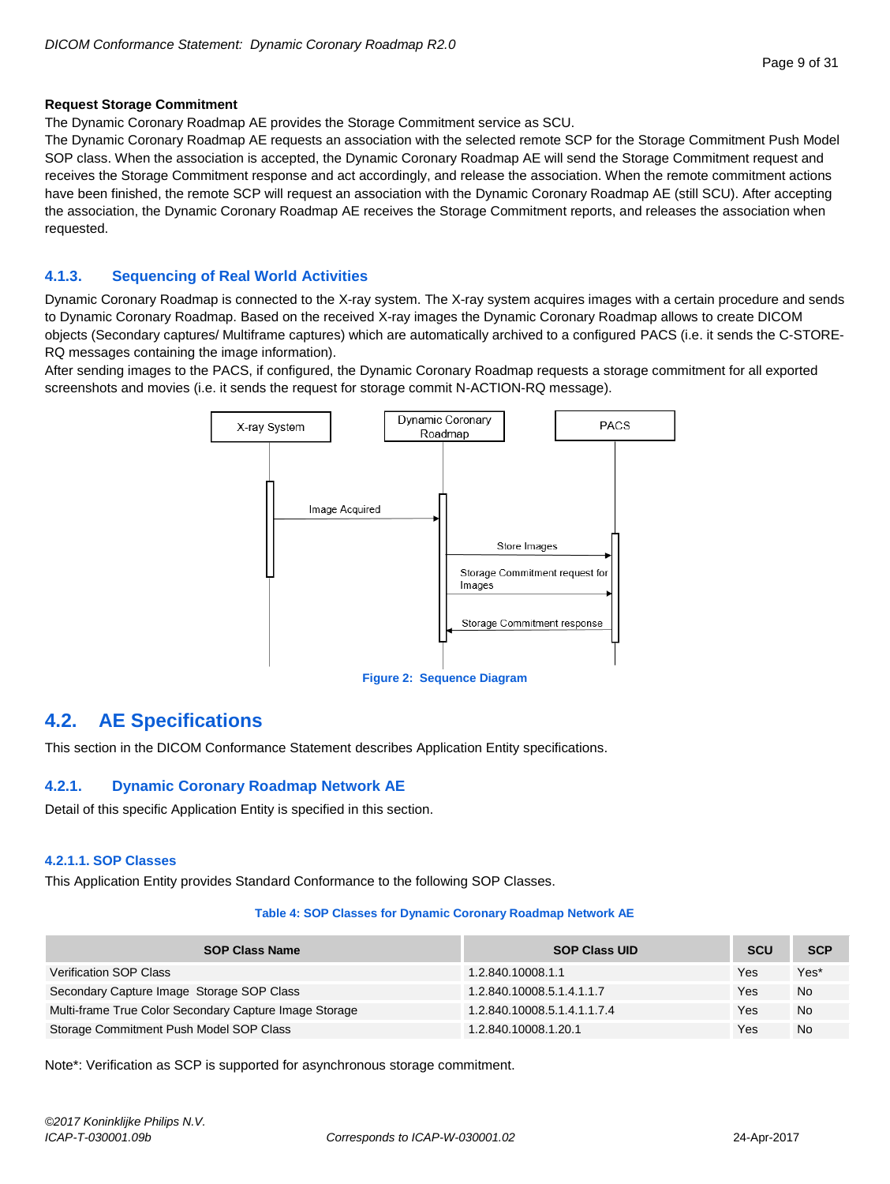## **Request Storage Commitment**

The Dynamic Coronary Roadmap AE provides the Storage Commitment service as SCU.

The Dynamic Coronary Roadmap AE requests an association with the selected remote SCP for the Storage Commitment Push Model SOP class. When the association is accepted, the Dynamic Coronary Roadmap AE will send the Storage Commitment request and receives the Storage Commitment response and act accordingly, and release the association. When the remote commitment actions have been finished, the remote SCP will request an association with the Dynamic Coronary Roadmap AE (still SCU). After accepting the association, the Dynamic Coronary Roadmap AE receives the Storage Commitment reports, and releases the association when requested.

# <span id="page-8-0"></span>**4.1.3. Sequencing of Real World Activities**

Dynamic Coronary Roadmap is connected to the X-ray system. The X-ray system acquires images with a certain procedure and sends to Dynamic Coronary Roadmap. Based on the received X-ray images the Dynamic Coronary Roadmap allows to create DICOM objects (Secondary captures/ Multiframe captures) which are automatically archived to a configured PACS (i.e. it sends the C-STORE-RQ messages containing the image information).

After sending images to the PACS, if configured, the Dynamic Coronary Roadmap requests a storage commitment for all exported screenshots and movies (i.e. it sends the request for storage commit N-ACTION-RQ message).



#### **Figure 2: Sequence Diagram**

# <span id="page-8-1"></span>**4.2. AE Specifications**

This section in the DICOM Conformance Statement describes Application Entity specifications.

# <span id="page-8-2"></span>**4.2.1. Dynamic Coronary Roadmap Network AE**

Detail of this specific Application Entity is specified in this section.

# <span id="page-8-3"></span>**4.2.1.1. SOP Classes**

This Application Entity provides Standard Conformance to the following SOP Classes.

#### **Table 4: SOP Classes for Dynamic Coronary Roadmap Network AE**

| <b>SOP Class Name</b>                                  | <b>SOP Class UID</b>        | <b>SCU</b> | <b>SCP</b> |
|--------------------------------------------------------|-----------------------------|------------|------------|
| Verification SOP Class                                 | 1.2.840.10008.1.1           | Yes        | Yes*       |
| Secondary Capture Image Storage SOP Class              | 1.2.840.10008.5.1.4.1.1.7   | Yes        | <b>No</b>  |
| Multi-frame True Color Secondary Capture Image Storage | 1.2.840.10008.5.1.4.1.1.7.4 | Yes        | <b>No</b>  |
| Storage Commitment Push Model SOP Class                | 1.2.840.10008.1.20.1        | Yes        | <b>No</b>  |

Note\*: Verification as SCP is supported for asynchronous storage commitment.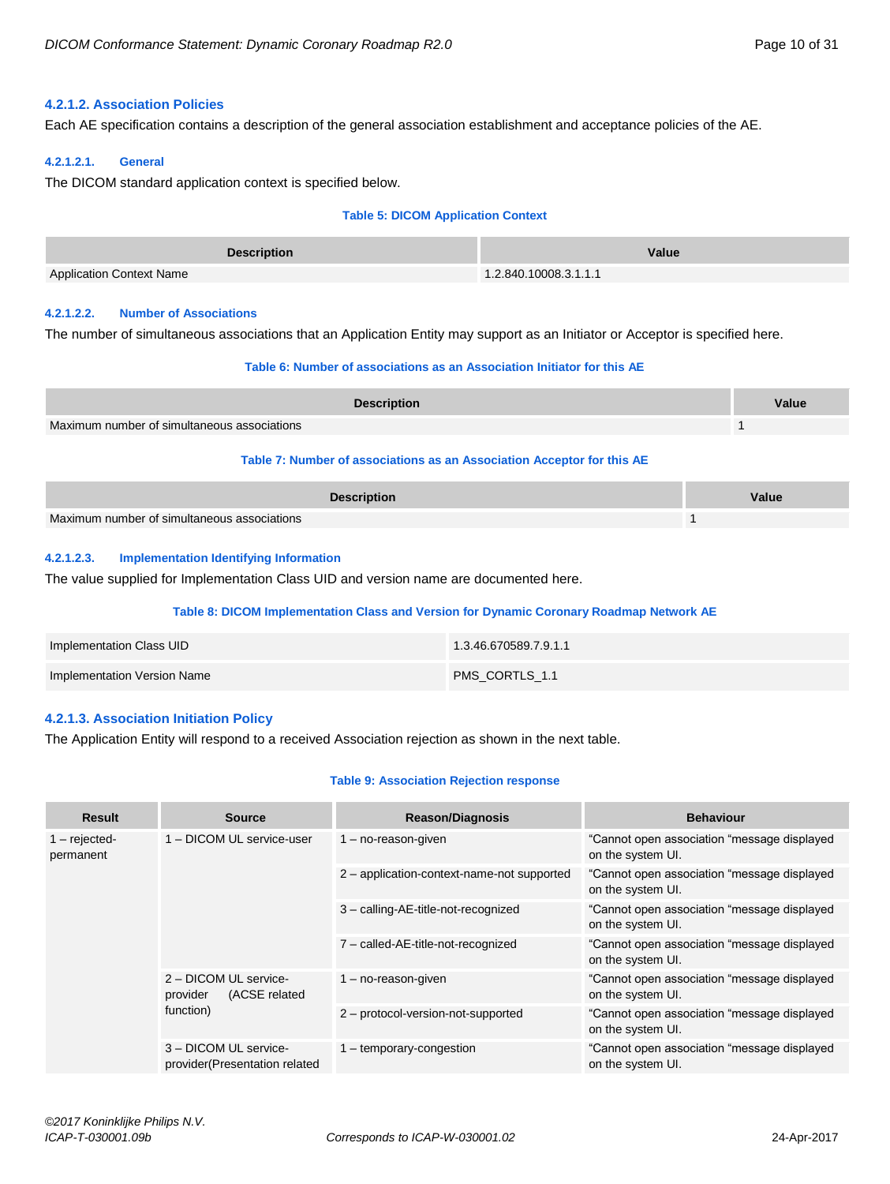# <span id="page-9-0"></span>**4.2.1.2. Association Policies**

Each AE specification contains a description of the general association establishment and acceptance policies of the AE.

#### <span id="page-9-1"></span>**4.2.1.2.1. General**

The DICOM standard application context is specified below.

#### **Table 5: DICOM Application Context**

| <b>Description</b>              | Value                 |
|---------------------------------|-----------------------|
| <b>Application Context Name</b> | 1.2.840.10008.3.1.1.1 |

#### <span id="page-9-2"></span>**4.2.1.2.2. Number of Associations**

The number of simultaneous associations that an Application Entity may support as an Initiator or Acceptor is specified here.

#### **Table 6: Number of associations as an Association Initiator for this AE**

| <b>Description</b>                          | Value |
|---------------------------------------------|-------|
| Maximum number of simultaneous associations |       |

# **Table 7: Number of associations as an Association Acceptor for this AE**

| <b>Description</b>                          | Value |
|---------------------------------------------|-------|
| Maximum number of simultaneous associations |       |

## <span id="page-9-3"></span>**4.2.1.2.3. Implementation Identifying Information**

The value supplied for Implementation Class UID and version name are documented here.

#### **Table 8: DICOM Implementation Class and Version for Dynamic Coronary Roadmap Network AE**

| Implementation Class UID    | 1.3.46.670589.7.9.1.1 |
|-----------------------------|-----------------------|
| Implementation Version Name | PMS CORTLS 1.1        |

# <span id="page-9-4"></span>**4.2.1.3. Association Initiation Policy**

The Application Entity will respond to a received Association rejection as shown in the next table.

#### **Table 9: Association Rejection response**

| <b>Result</b>                | <b>Source</b>                                                   | <b>Reason/Diagnosis</b>                    | <b>Behaviour</b>                                                 |
|------------------------------|-----------------------------------------------------------------|--------------------------------------------|------------------------------------------------------------------|
| $1 -$ rejected-<br>permanent | 1 - DICOM UL service-user                                       | $1 - no$ -reason-given                     | "Cannot open association "message displayed<br>on the system UI. |
|                              |                                                                 | 2 - application-context-name-not supported | "Cannot open association "message displayed<br>on the system UI. |
|                              |                                                                 | 3 - calling-AE-title-not-recognized        | "Cannot open association "message displayed<br>on the system UI. |
|                              |                                                                 | 7 - called-AE-title-not-recognized         | "Cannot open association "message displayed<br>on the system UI. |
|                              | 2 - DICOM UL service-<br>(ACSE related<br>provider<br>function) | $1 - no$ -reason-given                     | "Cannot open association "message displayed<br>on the system UI. |
|                              |                                                                 | 2 - protocol-version-not-supported         | "Cannot open association "message displayed<br>on the system UI. |
|                              | 3 - DICOM UL service-<br>provider (Presentation related         | 1 – temporary-congestion                   | "Cannot open association "message displayed<br>on the system UI. |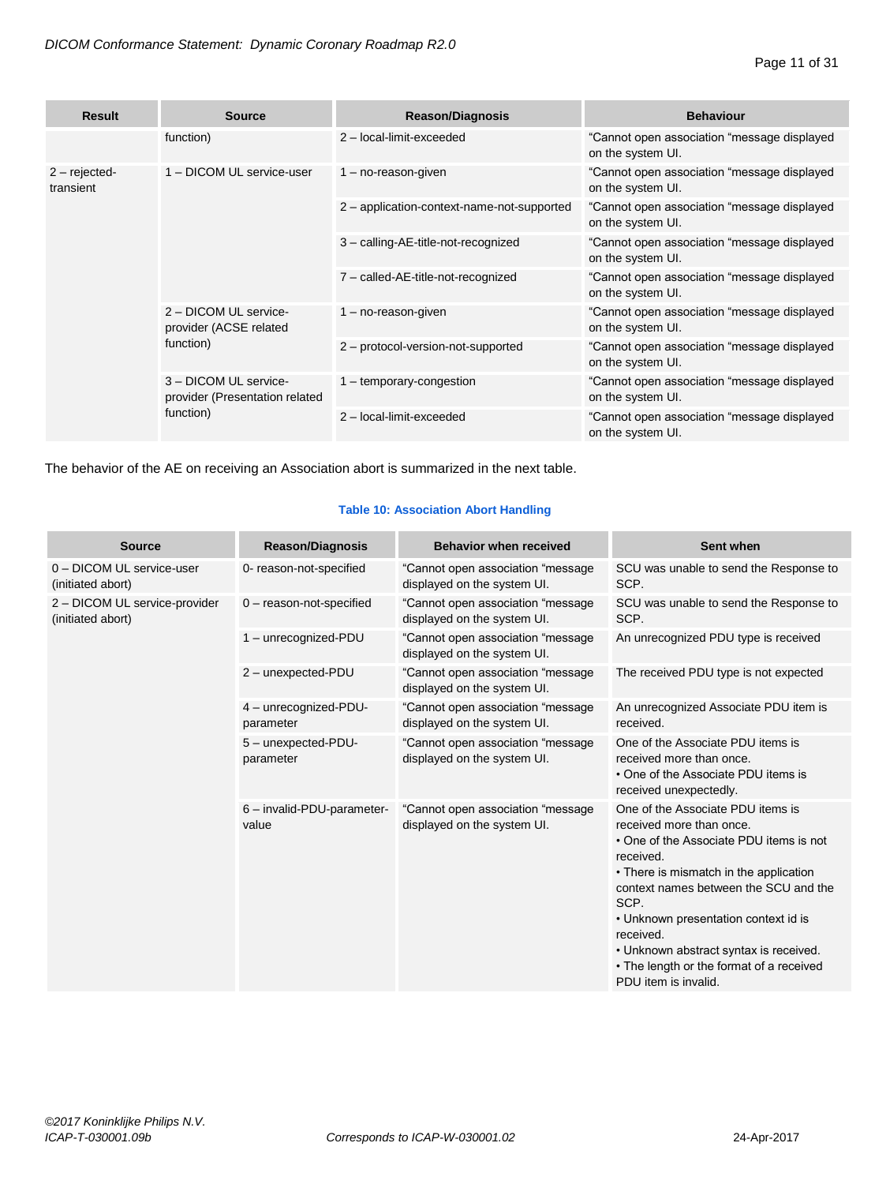| <b>Result</b>               | <b>Source</b>                                                        | <b>Reason/Diagnosis</b>                    | <b>Behaviour</b>                                                 |
|-----------------------------|----------------------------------------------------------------------|--------------------------------------------|------------------------------------------------------------------|
|                             | function)                                                            | 2 - local-limit-exceeded                   | "Cannot open association "message displayed<br>on the system UI. |
| $2 - rejected$<br>transient | 1 - DICOM UL service-user                                            | $1 - no$ -reason-given                     | "Cannot open association "message displayed<br>on the system UI. |
|                             |                                                                      | 2 - application-context-name-not-supported | "Cannot open association "message displayed<br>on the system UI. |
|                             |                                                                      | 3 - calling-AE-title-not-recognized        | "Cannot open association "message displayed<br>on the system UI. |
|                             |                                                                      | 7 - called-AE-title-not-recognized         | "Cannot open association "message displayed<br>on the system UI. |
|                             | 2 - DICOM UL service-<br>provider (ACSE related<br>function)         | $1 - no$ -reason-given                     | "Cannot open association "message displayed<br>on the system UI. |
|                             |                                                                      | 2 - protocol-version-not-supported         | "Cannot open association "message displayed<br>on the system UI. |
|                             | 3 - DICOM UL service-<br>provider (Presentation related<br>function) | 1 - temporary-congestion                   | "Cannot open association "message displayed<br>on the system UI. |
|                             |                                                                      | 2 - local-limit-exceeded                   | "Cannot open association "message displayed<br>on the system UI. |

The behavior of the AE on receiving an Association abort is summarized in the next table.

# **Table 10: Association Abort Handling**

| <b>Source</b>                                      | <b>Reason/Diagnosis</b>             | <b>Behavior when received</b>                                     | Sent when                                                                                                                                                                                                                                                                                                                                                                           |
|----------------------------------------------------|-------------------------------------|-------------------------------------------------------------------|-------------------------------------------------------------------------------------------------------------------------------------------------------------------------------------------------------------------------------------------------------------------------------------------------------------------------------------------------------------------------------------|
| 0 - DICOM UL service-user<br>(initiated abort)     | 0- reason-not-specified             | "Cannot open association "message<br>displayed on the system UI.  | SCU was unable to send the Response to<br>SCP.                                                                                                                                                                                                                                                                                                                                      |
| 2 - DICOM UL service-provider<br>(initiated abort) | $0$ – reason-not-specified          | "Cannot open association "message<br>displayed on the system UI.  | SCU was unable to send the Response to<br>SCP.                                                                                                                                                                                                                                                                                                                                      |
|                                                    | 1 - unrecognized-PDU                | "Cannot open association "message<br>displayed on the system UI.  | An unrecognized PDU type is received                                                                                                                                                                                                                                                                                                                                                |
|                                                    | 2 - unexpected-PDU                  | "Cannot open association "message<br>displayed on the system UI.  | The received PDU type is not expected                                                                                                                                                                                                                                                                                                                                               |
|                                                    | 4 - unrecognized-PDU-<br>parameter  | "Cannot open association "message<br>displayed on the system UI.  | An unrecognized Associate PDU item is<br>received.                                                                                                                                                                                                                                                                                                                                  |
|                                                    | 5 - unexpected-PDU-<br>parameter    | "Cannot open association "message<br>displayed on the system UI.  | One of the Associate PDU items is<br>received more than once.<br>• One of the Associate PDU items is<br>received unexpectedly.                                                                                                                                                                                                                                                      |
|                                                    | 6 - invalid-PDU-parameter-<br>value | "Cannot open association "message"<br>displayed on the system UI. | One of the Associate PDU items is<br>received more than once.<br>• One of the Associate PDU items is not<br>received.<br>• There is mismatch in the application<br>context names between the SCU and the<br>SCP.<br>• Unknown presentation context id is<br>received.<br>• Unknown abstract syntax is received.<br>• The length or the format of a received<br>PDU item is invalid. |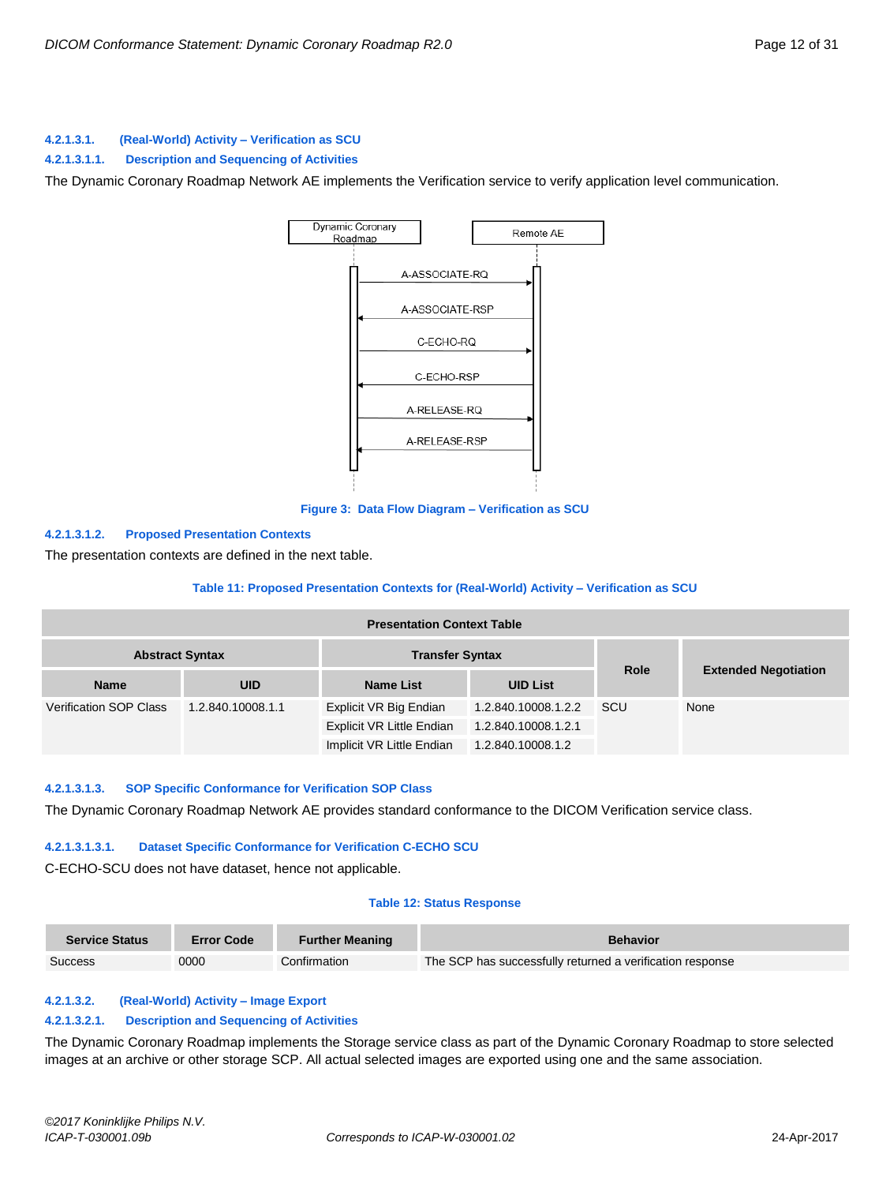# <span id="page-11-0"></span>**4.2.1.3.1. (Real-World) Activity – Verification as SCU**

**4.2.1.3.1.1. Description and Sequencing of Activities**

The Dynamic Coronary Roadmap Network AE implements the Verification service to verify application level communication.



#### **Figure 3: Data Flow Diagram – Verification as SCU**

#### **4.2.1.3.1.2. Proposed Presentation Contexts**

The presentation contexts are defined in the next table.

#### **Table 11: Proposed Presentation Contexts for (Real-World) Activity – Verification as SCU**

| <b>Presentation Context Table</b>                |                   |                           |                     |             |                             |  |
|--------------------------------------------------|-------------------|---------------------------|---------------------|-------------|-----------------------------|--|
| <b>Abstract Syntax</b><br><b>Transfer Syntax</b> |                   |                           |                     |             |                             |  |
| <b>Name</b>                                      | <b>UID</b>        | <b>Name List</b>          | <b>UID List</b>     | <b>Role</b> | <b>Extended Negotiation</b> |  |
| <b>Verification SOP Class</b>                    | 1.2.840.10008.1.1 | Explicit VR Big Endian    | 1.2.840.10008.1.2.2 | SCU         | None                        |  |
|                                                  |                   | Explicit VR Little Endian | 1.2.840.10008.1.2.1 |             |                             |  |
|                                                  |                   | Implicit VR Little Endian | 1.2.840.10008.1.2   |             |                             |  |

#### **4.2.1.3.1.3. SOP Specific Conformance for Verification SOP Class**

The Dynamic Coronary Roadmap Network AE provides standard conformance to the DICOM Verification service class.

#### **4.2.1.3.1.3.1. Dataset Specific Conformance for Verification C-ECHO SCU**

C-ECHO-SCU does not have dataset, hence not applicable.

#### **Table 12: Status Response**

| <b>Service Status</b> | <b>Error Code</b> | <b>Further Meaning</b> | <b>Behavior</b>                                           |
|-----------------------|-------------------|------------------------|-----------------------------------------------------------|
| Success               | 0000              | Confirmation           | The SCP has successfully returned a verification response |

#### <span id="page-11-1"></span>**4.2.1.3.2. (Real-World) Activity – Image Export**

#### **4.2.1.3.2.1. Description and Sequencing of Activities**

The Dynamic Coronary Roadmap implements the Storage service class as part of the Dynamic Coronary Roadmap to store selected images at an archive or other storage SCP. All actual selected images are exported using one and the same association.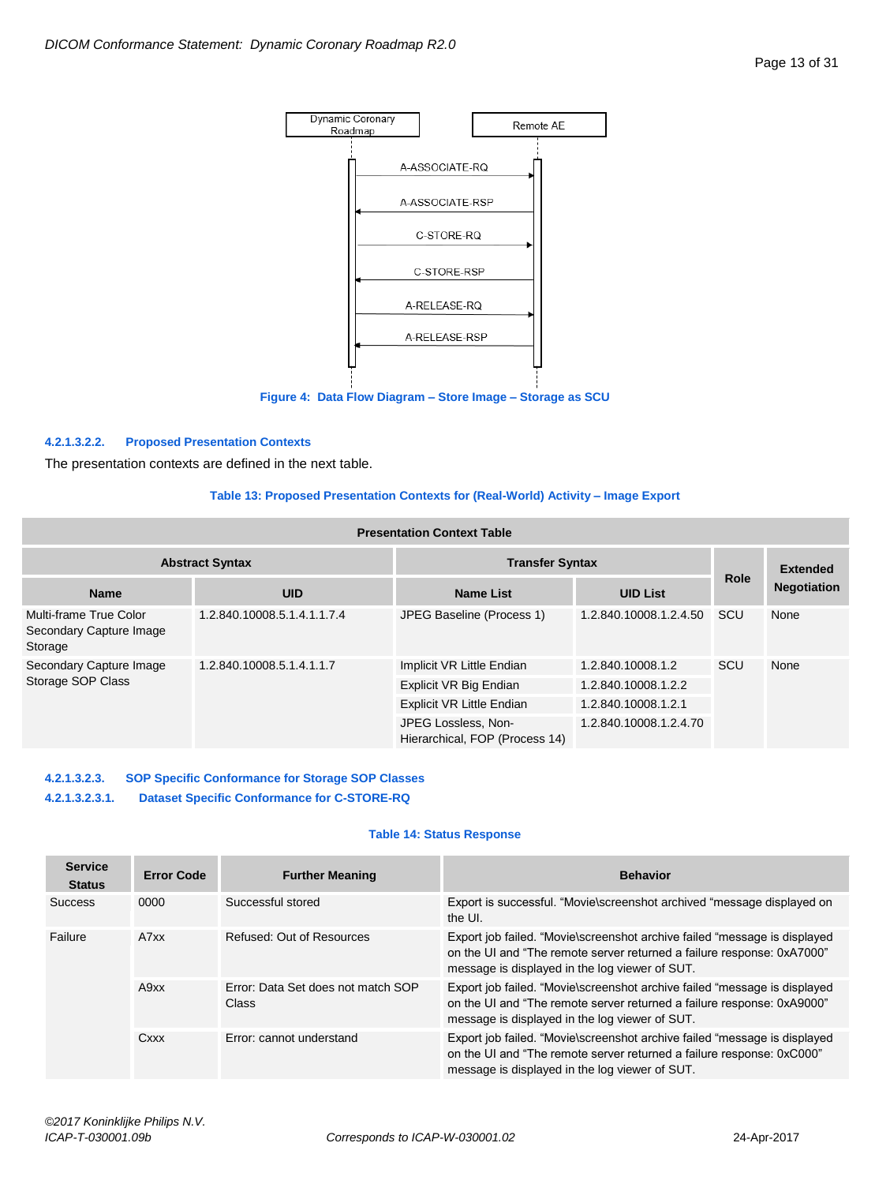

**Figure 4: Data Flow Diagram – Store Image – Storage as SCU**

#### **4.2.1.3.2.2. Proposed Presentation Contexts**

The presentation contexts are defined in the next table.

#### **Table 13: Proposed Presentation Contexts for (Real-World) Activity – Image Export**

| <b>Presentation Context Table</b>                            |                             |                                                       |                        |             |                    |  |
|--------------------------------------------------------------|-----------------------------|-------------------------------------------------------|------------------------|-------------|--------------------|--|
| <b>Transfer Syntax</b><br><b>Abstract Syntax</b>             |                             |                                                       |                        |             | <b>Extended</b>    |  |
| <b>Name</b>                                                  | <b>UID</b>                  | <b>Name List</b>                                      | <b>UID List</b>        | <b>Role</b> | <b>Negotiation</b> |  |
| Multi-frame True Color<br>Secondary Capture Image<br>Storage | 1.2.840.10008.5.1.4.1.1.7.4 | JPEG Baseline (Process 1)                             | 1.2.840.10008.1.2.4.50 | SCU         | None               |  |
| Secondary Capture Image                                      | 1.2.840.10008.5.1.4.1.1.7   | Implicit VR Little Endian                             | 1.2.840.10008.1.2      | SCU         | None               |  |
| Storage SOP Class                                            |                             | Explicit VR Big Endian                                | 1.2.840.10008.1.2.2    |             |                    |  |
|                                                              |                             | Explicit VR Little Endian                             | 1.2.840.10008.1.2.1    |             |                    |  |
|                                                              |                             | JPEG Lossless, Non-<br>Hierarchical, FOP (Process 14) | 1.2.840.10008.1.2.4.70 |             |                    |  |

# **4.2.1.3.2.3. SOP Specific Conformance for Storage SOP Classes**

**4.2.1.3.2.3.1. Dataset Specific Conformance for C-STORE-RQ**

## **Table 14: Status Response**

| <b>Service</b><br><b>Status</b> | <b>Error Code</b> | <b>Further Meaning</b>                      | <b>Behavior</b>                                                                                                                                                                                       |
|---------------------------------|-------------------|---------------------------------------------|-------------------------------------------------------------------------------------------------------------------------------------------------------------------------------------------------------|
| <b>Success</b>                  | 0000              | Successful stored                           | Export is successful. "Movie\screenshot archived "message displayed on<br>the UI.                                                                                                                     |
| Failure                         | A7xx              | Refused: Out of Resources                   | Export job failed. "Movie\screenshot archive failed "message is displayed<br>on the UI and "The remote server returned a failure response: 0xA7000"<br>message is displayed in the log viewer of SUT. |
|                                 | A9xx              | Error: Data Set does not match SOP<br>Class | Export job failed. "Movie\screenshot archive failed "message is displayed<br>on the UI and "The remote server returned a failure response: 0xA9000"<br>message is displayed in the log viewer of SUT. |
|                                 | Cxxx              | Error: cannot understand                    | Export job failed. "Movie\screenshot archive failed "message is displayed<br>on the UI and "The remote server returned a failure response: 0xC000"<br>message is displayed in the log viewer of SUT.  |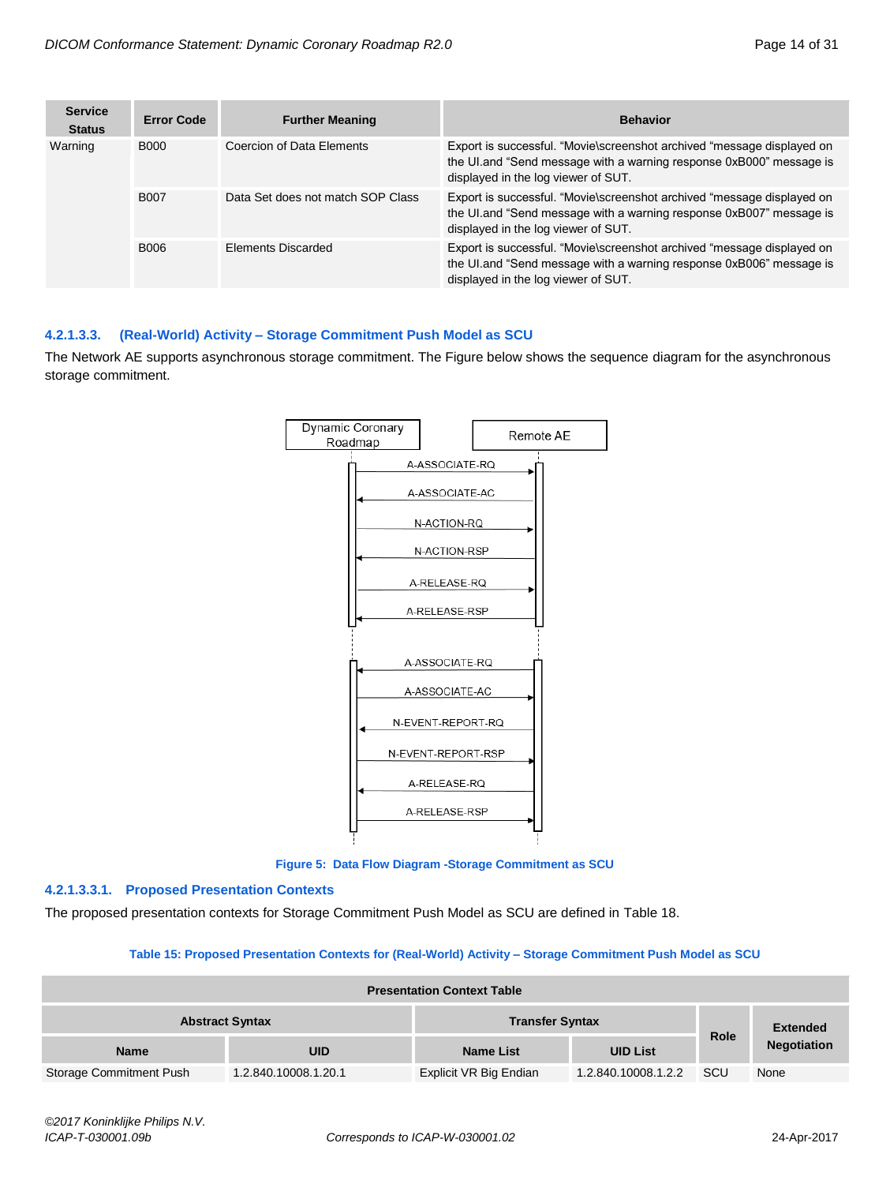| <b>Service</b><br><b>Status</b> | Error Code  | <b>Further Meaning</b>            | <b>Behavior</b>                                                                                                                                                                      |
|---------------------------------|-------------|-----------------------------------|--------------------------------------------------------------------------------------------------------------------------------------------------------------------------------------|
| Warning                         | <b>B000</b> | Coercion of Data Elements         | Export is successful. "Movie\screenshot archived "message displayed on<br>the UI and "Send message with a warning response 0xB000" message is<br>displayed in the log viewer of SUT. |
|                                 | <b>B007</b> | Data Set does not match SOP Class | Export is successful. "Movie\screenshot archived "message displayed on<br>the UI.and "Send message with a warning response 0xB007" message is<br>displayed in the log viewer of SUT. |
|                                 | B006        | Elements Discarded                | Export is successful. "Movie\screenshot archived "message displayed on<br>the UI.and "Send message with a warning response 0xB006" message is<br>displayed in the log viewer of SUT. |

# <span id="page-13-0"></span>**4.2.1.3.3. (Real-World) Activity – Storage Commitment Push Model as SCU**

The Network AE supports asynchronous storage commitment. The Figure below shows the sequence diagram for the asynchronous storage commitment.



**Figure 5: Data Flow Diagram -Storage Commitment as SCU**

# **4.2.1.3.3.1. Proposed Presentation Contexts**

The proposed presentation contexts for Storage Commitment Push Model as SCU are defined in Table 18.

#### **Table 15: Proposed Presentation Contexts for (Real-World) Activity – Storage Commitment Push Model as SCU**

| <b>Presentation Context Table</b>                |                      |                               |                     |             |                    |  |
|--------------------------------------------------|----------------------|-------------------------------|---------------------|-------------|--------------------|--|
| <b>Abstract Syntax</b><br><b>Transfer Syntax</b> |                      |                               |                     | <b>Role</b> | <b>Extended</b>    |  |
| <b>Name</b>                                      | <b>UID</b>           | <b>Name List</b>              | <b>UID List</b>     |             | <b>Negotiation</b> |  |
| Storage Commitment Push                          | 1.2.840.10008.1.20.1 | <b>Explicit VR Big Endian</b> | 1.2.840.10008.1.2.2 | <b>SCU</b>  | None               |  |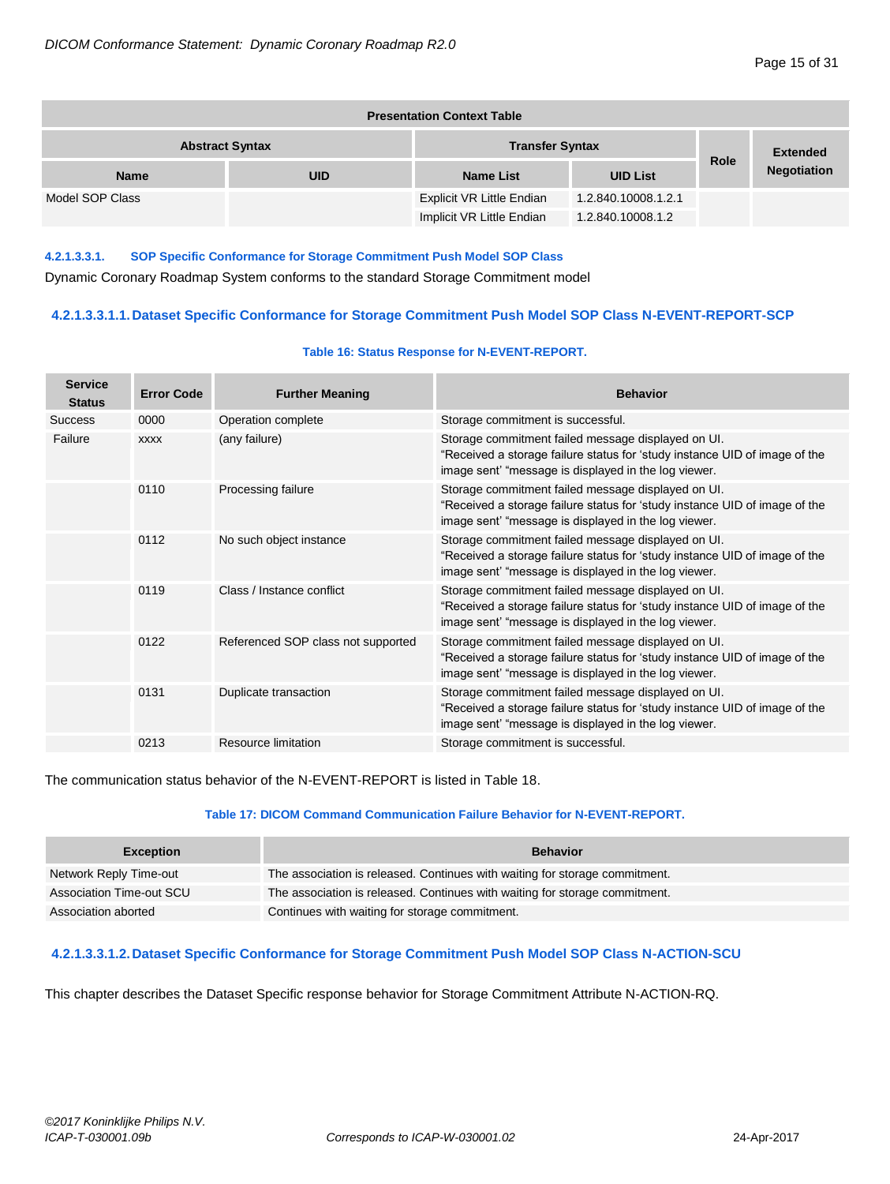| <b>Presentation Context Table</b>                |            |                           |                     |             |                    |  |
|--------------------------------------------------|------------|---------------------------|---------------------|-------------|--------------------|--|
| <b>Transfer Syntax</b><br><b>Abstract Syntax</b> |            |                           |                     |             | <b>Extended</b>    |  |
| <b>Name</b>                                      | <b>UID</b> | <b>Name List</b>          | <b>UID List</b>     | <b>Role</b> | <b>Negotiation</b> |  |
| Model SOP Class                                  |            | Explicit VR Little Endian | 1.2.840.10008.1.2.1 |             |                    |  |
|                                                  |            | Implicit VR Little Endian | 1.2.840.10008.1.2   |             |                    |  |

# **4.2.1.3.3.1. SOP Specific Conformance for Storage Commitment Push Model SOP Class**

Dynamic Coronary Roadmap System conforms to the standard Storage Commitment model

# **4.2.1.3.3.1.1.Dataset Specific Conformance for Storage Commitment Push Model SOP Class N-EVENT-REPORT-SCP**

#### **Table 16: Status Response for N-EVENT-REPORT.**

| <b>Service</b><br><b>Status</b> | <b>Error Code</b> | <b>Further Meaning</b>             | <b>Behavior</b>                                                                                                                                                                          |
|---------------------------------|-------------------|------------------------------------|------------------------------------------------------------------------------------------------------------------------------------------------------------------------------------------|
| <b>Success</b>                  | 0000              | Operation complete                 | Storage commitment is successful.                                                                                                                                                        |
| Failure                         | <b>XXXX</b>       | (any failure)                      | Storage commitment failed message displayed on UI.<br>"Received a storage failure status for 'study instance UID of image of the<br>image sent' "message is displayed in the log viewer. |
|                                 | 0110              | Processing failure                 | Storage commitment failed message displayed on UI.<br>"Received a storage failure status for 'study instance UID of image of the<br>image sent' "message is displayed in the log viewer. |
|                                 | 0112              | No such object instance            | Storage commitment failed message displayed on UI.<br>"Received a storage failure status for 'study instance UID of image of the<br>image sent' "message is displayed in the log viewer. |
|                                 | 0119              | Class / Instance conflict          | Storage commitment failed message displayed on UI.<br>"Received a storage failure status for 'study instance UID of image of the<br>image sent' "message is displayed in the log viewer. |
|                                 | 0122              | Referenced SOP class not supported | Storage commitment failed message displayed on UI.<br>"Received a storage failure status for 'study instance UID of image of the<br>image sent' "message is displayed in the log viewer. |
|                                 | 0131              | Duplicate transaction              | Storage commitment failed message displayed on UI.<br>"Received a storage failure status for 'study instance UID of image of the<br>image sent' "message is displayed in the log viewer. |
|                                 | 0213              | Resource limitation                | Storage commitment is successful.                                                                                                                                                        |

The communication status behavior of the N-EVENT-REPORT is listed in Table 18.

# **Table 17: DICOM Command Communication Failure Behavior for N-EVENT-REPORT.**

| <b>Exception</b>         | <b>Behavior</b>                                                             |
|--------------------------|-----------------------------------------------------------------------------|
| Network Reply Time-out   | The association is released. Continues with waiting for storage commitment. |
| Association Time-out SCU | The association is released. Continues with waiting for storage commitment. |
| Association aborted      | Continues with waiting for storage commitment.                              |

# **4.2.1.3.3.1.2.Dataset Specific Conformance for Storage Commitment Push Model SOP Class N-ACTION-SCU**

This chapter describes the Dataset Specific response behavior for Storage Commitment Attribute N-ACTION-RQ.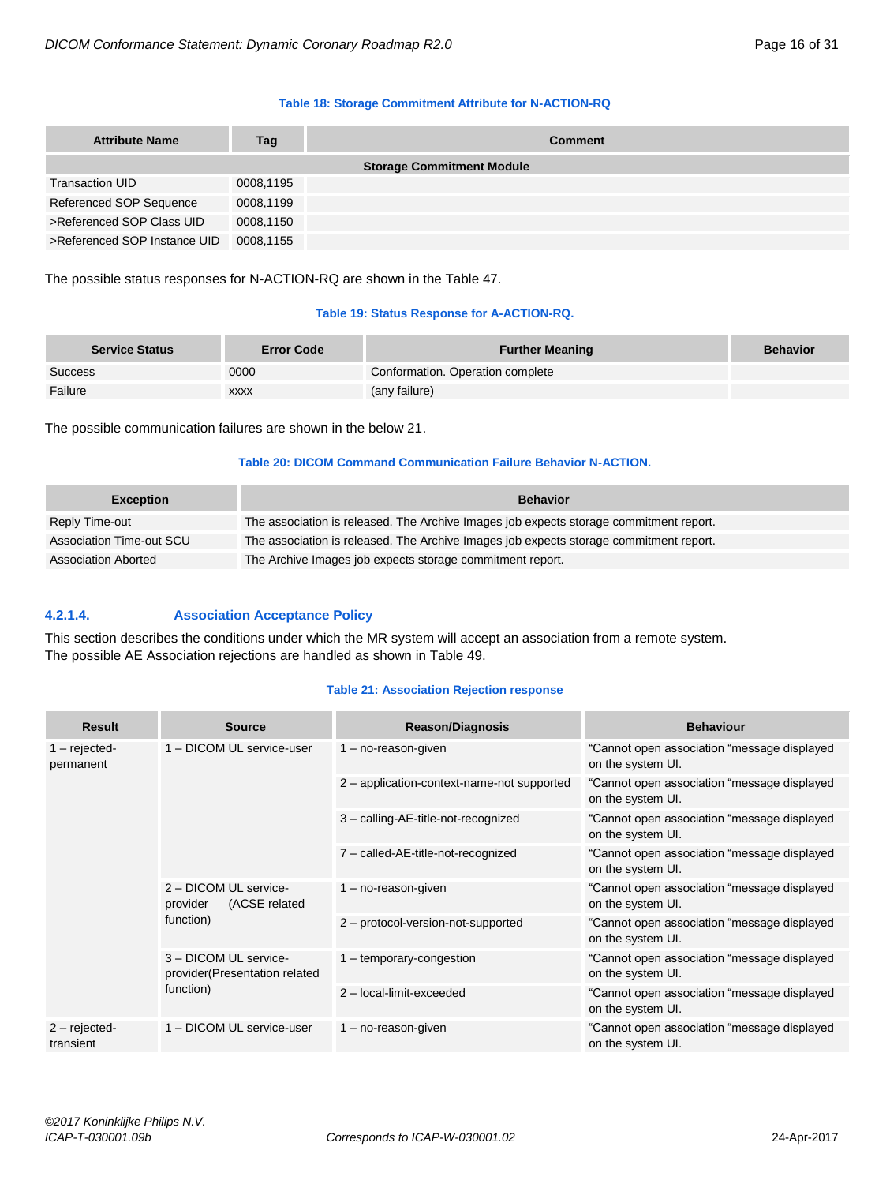### **Table 18: Storage Commitment Attribute for N-ACTION-RQ**

| <b>Attribute Name</b>        | Tag       | <b>Comment</b>                   |
|------------------------------|-----------|----------------------------------|
|                              |           | <b>Storage Commitment Module</b> |
| <b>Transaction UID</b>       | 0008,1195 |                                  |
| Referenced SOP Sequence      | 0008,1199 |                                  |
| >Referenced SOP Class UID    | 0008,1150 |                                  |
| >Referenced SOP Instance UID | 0008,1155 |                                  |

The possible status responses for N-ACTION-RQ are shown in the Table 47.

## **Table 19: Status Response for A-ACTION-RQ.**

| <b>Service Status</b> | <b>Error Code</b> | <b>Further Meaning</b>           | <b>Behavior</b> |
|-----------------------|-------------------|----------------------------------|-----------------|
| <b>Success</b>        | 0000              | Conformation. Operation complete |                 |
| Failure               | <b>XXXX</b>       | (any failure)                    |                 |

The possible communication failures are shown in the below 21.

# **Table 20: DICOM Command Communication Failure Behavior N-ACTION.**

| <b>Exception</b>           | <b>Behavior</b>                                                                        |
|----------------------------|----------------------------------------------------------------------------------------|
| Reply Time-out             | The association is released. The Archive Images job expects storage commitment report. |
| Association Time-out SCU   | The association is released. The Archive Images job expects storage commitment report. |
| <b>Association Aborted</b> | The Archive Images job expects storage commitment report.                              |

# <span id="page-15-0"></span>**4.2.1.4. Association Acceptance Policy**

This section describes the conditions under which the MR system will accept an association from a remote system. The possible AE Association rejections are handled as shown in Table 49.

# **Table 21: Association Rejection response**

| <b>Result</b>                | <b>Source</b>                                                       | <b>Reason/Diagnosis</b>                    | <b>Behaviour</b>                                                 |
|------------------------------|---------------------------------------------------------------------|--------------------------------------------|------------------------------------------------------------------|
| $1 -$ rejected-<br>permanent | 1 - DICOM UL service-user                                           | $1 - no$ -reason-given                     | "Cannot open association "message displayed<br>on the system UI. |
|                              |                                                                     | 2 - application-context-name-not supported | "Cannot open association "message displayed<br>on the system UI. |
|                              |                                                                     | 3 - calling-AE-title-not-recognized        | "Cannot open association "message displayed<br>on the system UI. |
|                              |                                                                     | 7 - called-AE-title-not-recognized         | "Cannot open association "message displayed<br>on the system UI. |
|                              | 2 - DICOM UL service-<br>(ACSE related<br>provider<br>function)     | $1 - no$ -reason-given                     | "Cannot open association "message displayed<br>on the system UI. |
|                              |                                                                     | 2 - protocol-version-not-supported         | "Cannot open association "message displayed<br>on the system UI. |
|                              | 3 - DICOM UL service-<br>provider(Presentation related<br>function) | 1 - temporary-congestion                   | "Cannot open association "message displayed<br>on the system UI. |
|                              |                                                                     | 2 - local-limit-exceeded                   | "Cannot open association "message displayed<br>on the system UI. |
| $2$ – rejected-<br>transient | 1 - DICOM UL service-user                                           | $1 - no$ -reason-given                     | "Cannot open association "message displayed<br>on the system UI. |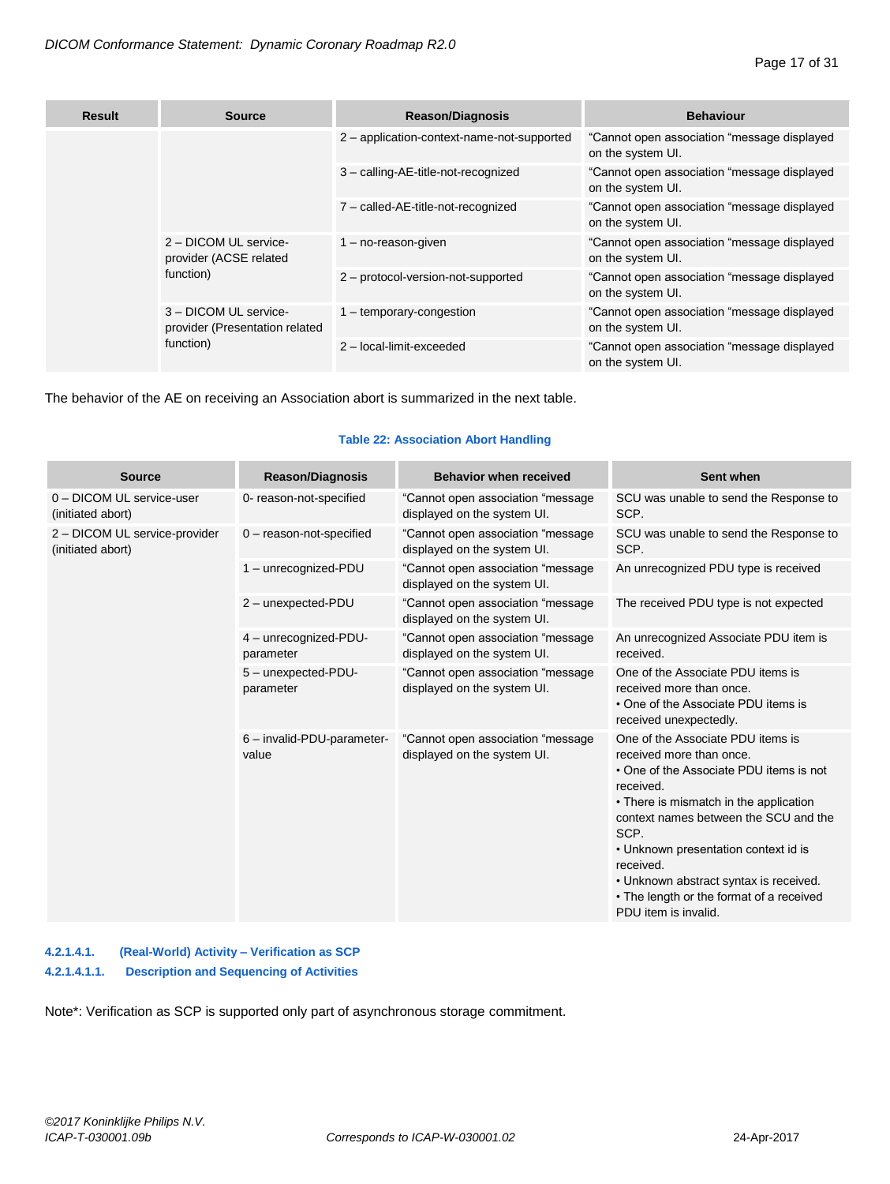| <b>Result</b> | <b>Source</b>                                                        | <b>Reason/Diagnosis</b>                    | <b>Behaviour</b>                                                 |
|---------------|----------------------------------------------------------------------|--------------------------------------------|------------------------------------------------------------------|
|               |                                                                      | 2 - application-context-name-not-supported | "Cannot open association "message displayed<br>on the system UI. |
|               |                                                                      | 3 - calling-AE-title-not-recognized        | "Cannot open association "message displayed<br>on the system UI. |
|               |                                                                      | 7 - called-AE-title-not-recognized         | "Cannot open association "message displayed<br>on the system UI. |
|               | 2 - DICOM UL service-<br>provider (ACSE related<br>function)         | $1 - no$ -reason-given                     | "Cannot open association "message displayed<br>on the system UI. |
|               |                                                                      | 2 - protocol-version-not-supported         | "Cannot open association "message displayed<br>on the system UI. |
|               | 3 - DICOM UL service-<br>provider (Presentation related<br>function) | 1 - temporary-congestion                   | "Cannot open association "message displayed<br>on the system UI. |
|               |                                                                      | 2 - local-limit-exceeded                   | "Cannot open association "message displayed<br>on the system UI. |

The behavior of the AE on receiving an Association abort is summarized in the next table.

# **Table 22: Association Abort Handling**

| <b>Source</b>                                      | <b>Reason/Diagnosis</b>             | <b>Behavior when received</b>                                     | Sent when                                                                                                                                                                                                                                                                                                                                                                           |
|----------------------------------------------------|-------------------------------------|-------------------------------------------------------------------|-------------------------------------------------------------------------------------------------------------------------------------------------------------------------------------------------------------------------------------------------------------------------------------------------------------------------------------------------------------------------------------|
| 0 - DICOM UL service-user<br>(initiated abort)     | 0- reason-not-specified             | "Cannot open association "message"<br>displayed on the system UI. | SCU was unable to send the Response to<br>SCP.                                                                                                                                                                                                                                                                                                                                      |
| 2 - DICOM UL service-provider<br>(initiated abort) | $0$ - reason-not-specified          | "Cannot open association "message<br>displayed on the system UI.  | SCU was unable to send the Response to<br>SCP.                                                                                                                                                                                                                                                                                                                                      |
|                                                    | 1 - unrecognized-PDU                | "Cannot open association "message<br>displayed on the system UI.  | An unrecognized PDU type is received                                                                                                                                                                                                                                                                                                                                                |
|                                                    | 2 - unexpected-PDU                  | "Cannot open association "message<br>displayed on the system UI.  | The received PDU type is not expected                                                                                                                                                                                                                                                                                                                                               |
|                                                    | 4 - unrecognized-PDU-<br>parameter  | "Cannot open association "message<br>displayed on the system UI.  | An unrecognized Associate PDU item is<br>received.                                                                                                                                                                                                                                                                                                                                  |
|                                                    | 5 - unexpected-PDU-<br>parameter    | "Cannot open association "message<br>displayed on the system UI.  | One of the Associate PDU items is<br>received more than once.<br>• One of the Associate PDU items is<br>received unexpectedly.                                                                                                                                                                                                                                                      |
|                                                    | 6 - invalid-PDU-parameter-<br>value | "Cannot open association "message<br>displayed on the system UI.  | One of the Associate PDU items is<br>received more than once.<br>• One of the Associate PDU items is not<br>received.<br>• There is mismatch in the application<br>context names between the SCU and the<br>SCP.<br>• Unknown presentation context id is<br>received.<br>• Unknown abstract syntax is received.<br>• The length or the format of a received<br>PDU item is invalid. |

# <span id="page-16-0"></span>**4.2.1.4.1. (Real-World) Activity – Verification as SCP 4.2.1.4.1.1. Description and Sequencing of Activities**

Note\*: Verification as SCP is supported only part of asynchronous storage commitment.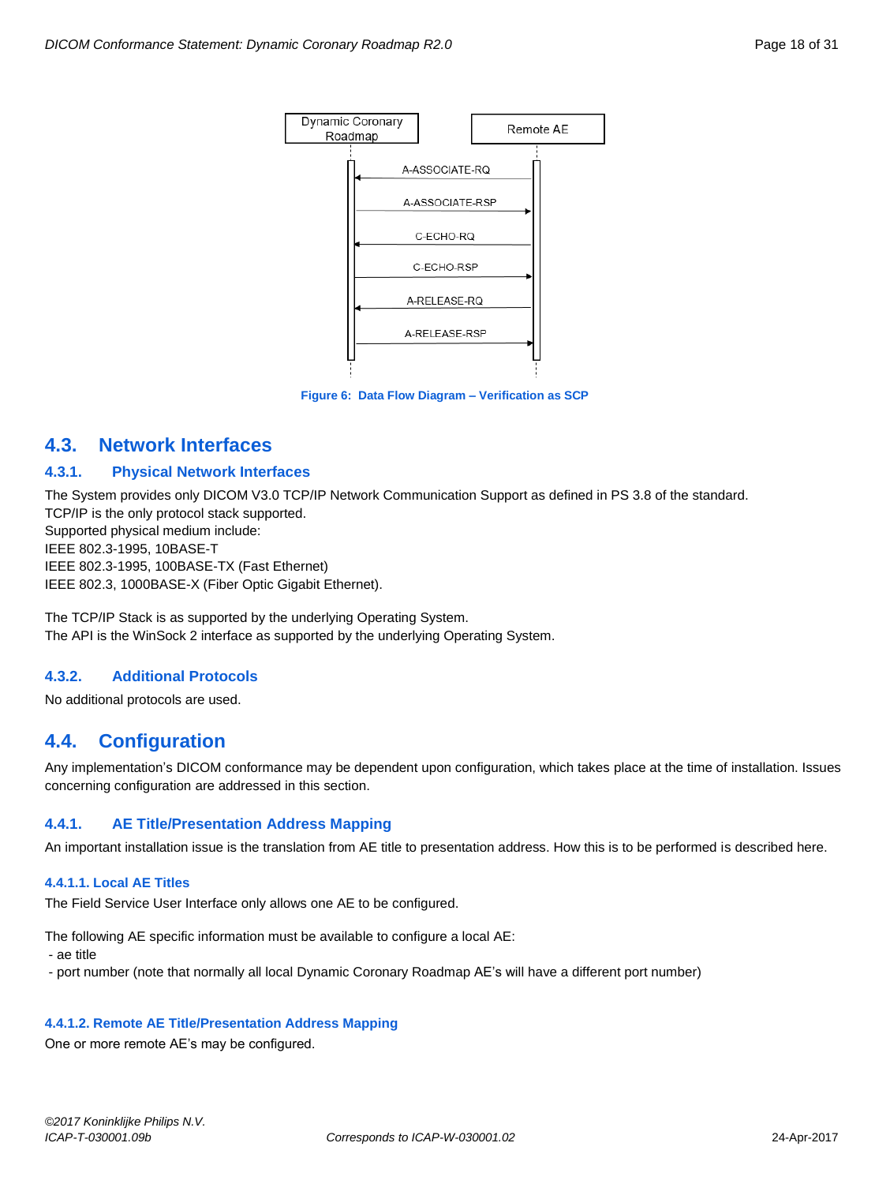

**Figure 6: Data Flow Diagram – Verification as SCP**

# <span id="page-17-0"></span>**4.3. Network Interfaces**

# <span id="page-17-1"></span>**4.3.1. Physical Network Interfaces**

The System provides only DICOM V3.0 TCP/IP Network Communication Support as defined in PS 3.8 of the standard. TCP/IP is the only protocol stack supported. Supported physical medium include: IEEE 802.3-1995, 10BASE-T IEEE 802.3-1995, 100BASE-TX (Fast Ethernet) IEEE 802.3, 1000BASE-X (Fiber Optic Gigabit Ethernet).

The TCP/IP Stack is as supported by the underlying Operating System. The API is the WinSock 2 interface as supported by the underlying Operating System.

# <span id="page-17-2"></span>**4.3.2. Additional Protocols**

No additional protocols are used.

# <span id="page-17-3"></span>**4.4. Configuration**

Any implementation's DICOM conformance may be dependent upon configuration, which takes place at the time of installation. Issues concerning configuration are addressed in this section.

# <span id="page-17-4"></span>**4.4.1. AE Title/Presentation Address Mapping**

<span id="page-17-5"></span>An important installation issue is the translation from AE title to presentation address. How this is to be performed is described here.

# **4.4.1.1. Local AE Titles**

The Field Service User Interface only allows one AE to be configured.

The following AE specific information must be available to configure a local AE:

- ae title

- port number (note that normally all local Dynamic Coronary Roadmap AE's will have a different port number)

# <span id="page-17-6"></span>**4.4.1.2. Remote AE Title/Presentation Address Mapping**

One or more remote AE's may be configured.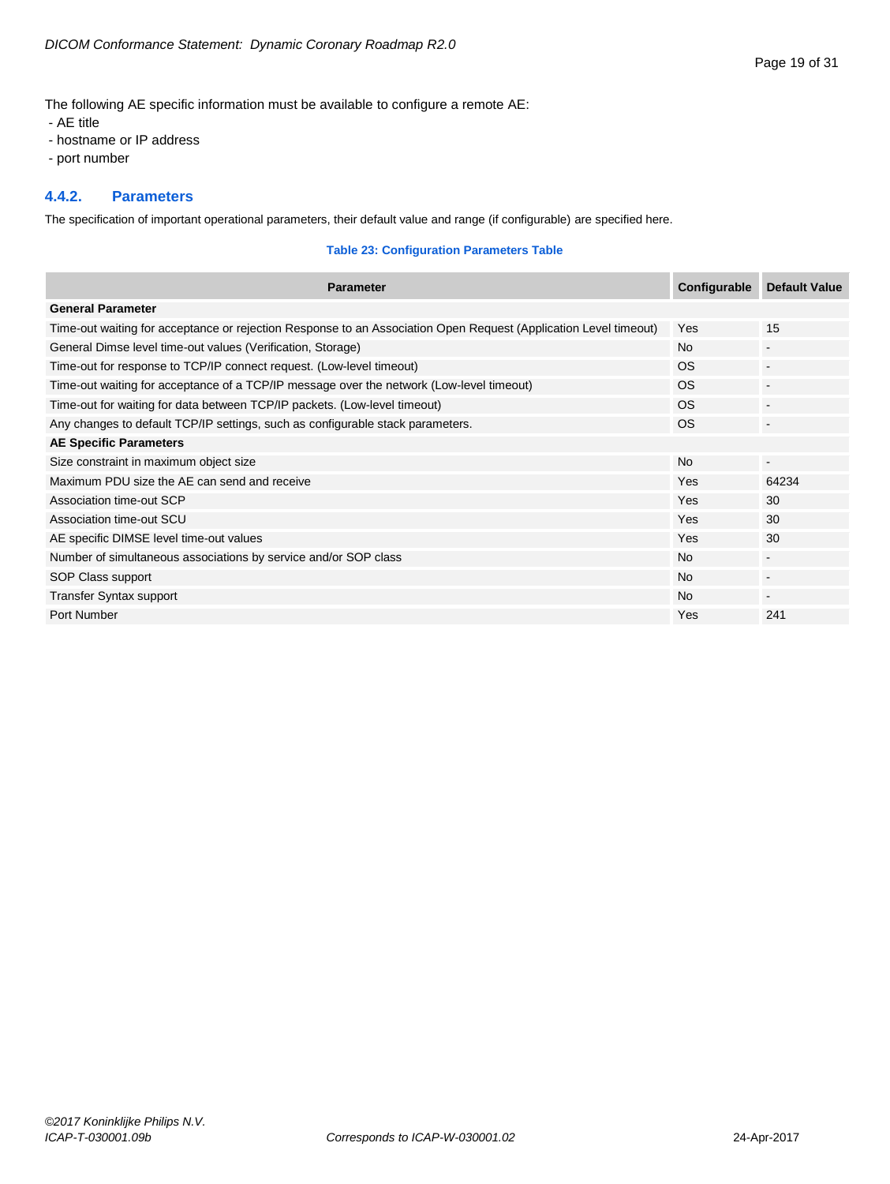The following AE specific information must be available to configure a remote AE:

- AE title
- hostname or IP address
- port number

# <span id="page-18-0"></span>**4.4.2. Parameters**

The specification of important operational parameters, their default value and range (if configurable) are specified here.

# **Table 23: Configuration Parameters Table**

| <b>Parameter</b>                                                                                                 | Configurable | <b>Default Value</b>     |
|------------------------------------------------------------------------------------------------------------------|--------------|--------------------------|
| <b>General Parameter</b>                                                                                         |              |                          |
| Time-out waiting for acceptance or rejection Response to an Association Open Request (Application Level timeout) | Yes          | 15                       |
| General Dimse level time-out values (Verification, Storage)                                                      | <b>No</b>    | $\overline{\phantom{a}}$ |
| Time-out for response to TCP/IP connect request. (Low-level timeout)                                             | <b>OS</b>    | $\blacksquare$           |
| Time-out waiting for acceptance of a TCP/IP message over the network (Low-level timeout)                         | OS.          | $\blacksquare$           |
| Time-out for waiting for data between TCP/IP packets. (Low-level timeout)                                        | <b>OS</b>    | $\blacksquare$           |
| Any changes to default TCP/IP settings, such as configurable stack parameters.                                   | <b>OS</b>    | $\blacksquare$           |
| <b>AE Specific Parameters</b>                                                                                    |              |                          |
| Size constraint in maximum object size                                                                           | <b>No</b>    | $\blacksquare$           |
| Maximum PDU size the AE can send and receive                                                                     | <b>Yes</b>   | 64234                    |
| Association time-out SCP                                                                                         | <b>Yes</b>   | 30                       |
| Association time-out SCU                                                                                         | <b>Yes</b>   | 30                       |
| AE specific DIMSE level time-out values                                                                          | Yes          | 30                       |
| Number of simultaneous associations by service and/or SOP class                                                  | <b>No</b>    | $\blacksquare$           |
| SOP Class support                                                                                                | <b>No</b>    |                          |
| Transfer Syntax support                                                                                          | <b>No</b>    |                          |
| Port Number                                                                                                      | <b>Yes</b>   | 241                      |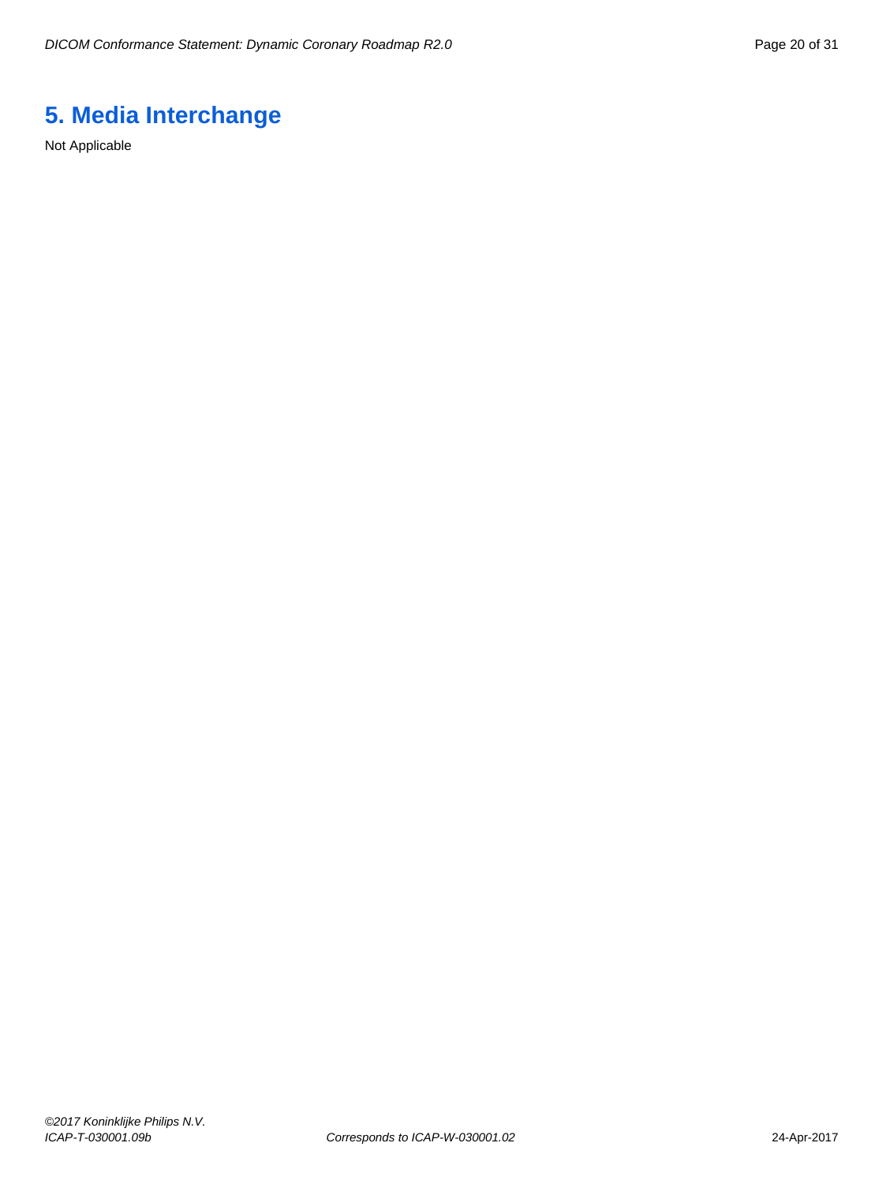# <span id="page-19-0"></span>**5. Media Interchange**

Not Applicable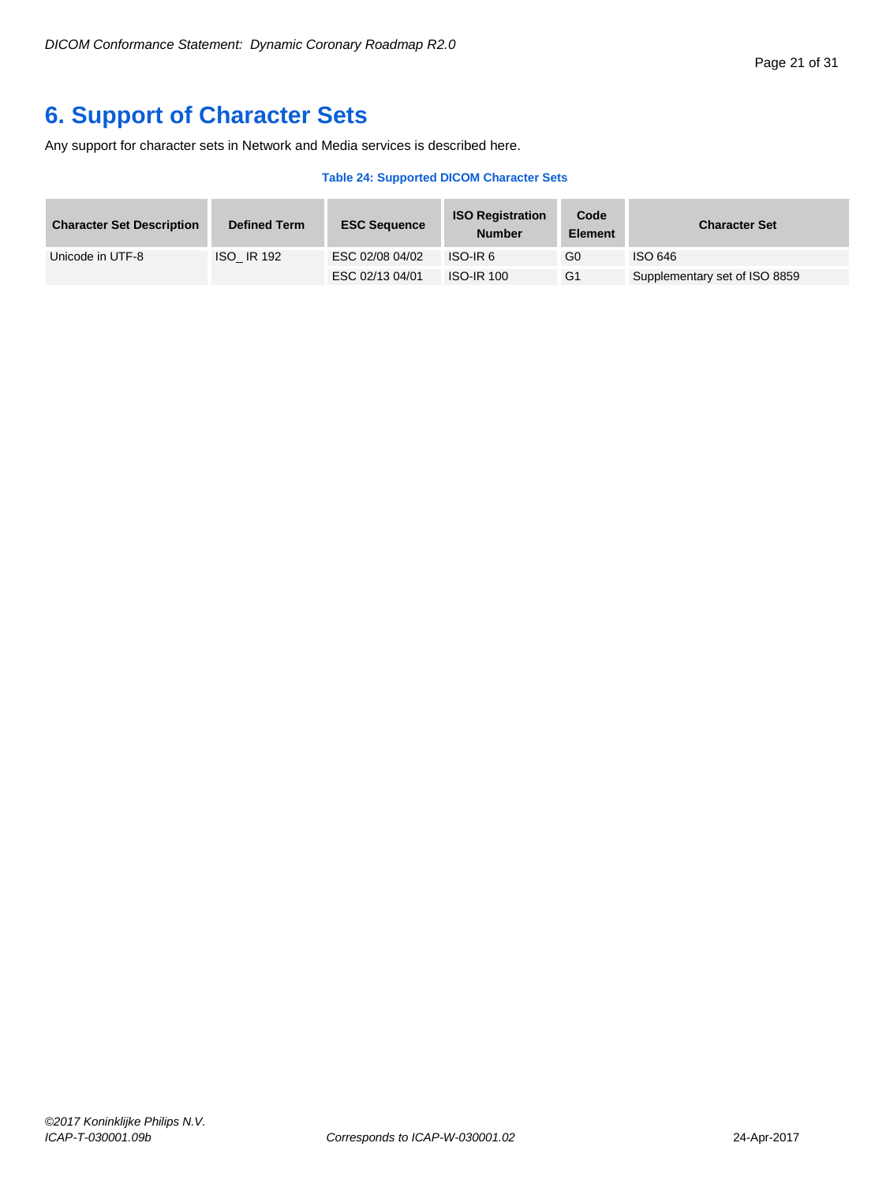# <span id="page-20-0"></span>**6. Support of Character Sets**

Any support for character sets in Network and Media services is described here.

#### **Table 24: Supported DICOM Character Sets**

| <b>Character Set Description</b> | <b>Defined Term</b> | <b>ESC Sequence</b> | <b>ISO Registration</b><br><b>Number</b> | Code<br><b>Element</b> | <b>Character Set</b>          |
|----------------------------------|---------------------|---------------------|------------------------------------------|------------------------|-------------------------------|
| Unicode in UTF-8                 | <b>ISO IR 192</b>   | ESC 02/08 04/02     | ISO-IR 6                                 | G0                     | ISO 646                       |
|                                  |                     | ESC 02/13 04/01     | <b>ISO-IR 100</b>                        | G <sub>1</sub>         | Supplementary set of ISO 8859 |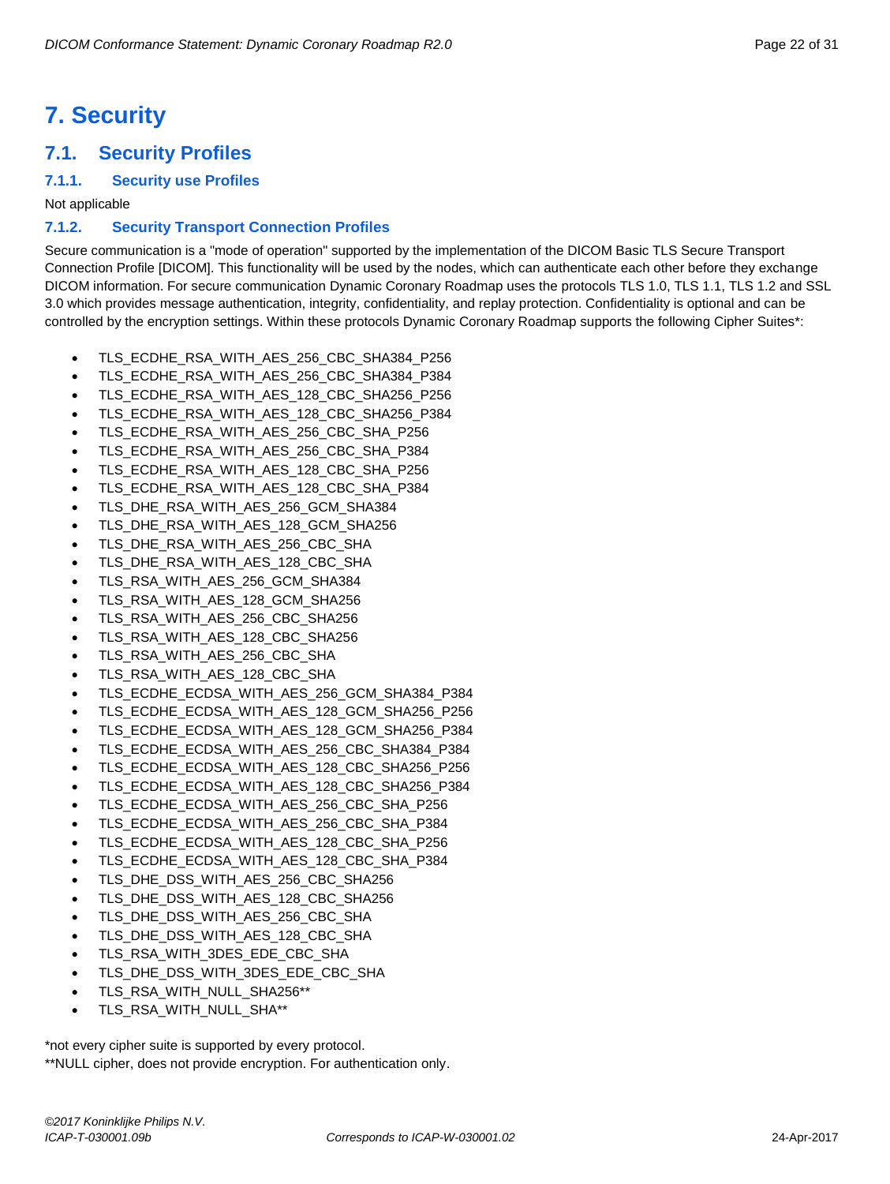# <span id="page-21-0"></span>**7. Security**

# <span id="page-21-1"></span>**7.1. Security Profiles**

# <span id="page-21-2"></span>**7.1.1. Security use Profiles**

Not applicable

# <span id="page-21-3"></span>**7.1.2. Security Transport Connection Profiles**

Secure communication is a "mode of operation" supported by the implementation of the DICOM Basic TLS Secure Transport Connection Profile [DICOM]. This functionality will be used by the nodes, which can authenticate each other before they exchange DICOM information. For secure communication Dynamic Coronary Roadmap uses the protocols TLS 1.0, TLS 1.1, TLS 1.2 and SSL 3.0 which provides message authentication, integrity, confidentiality, and replay protection. Confidentiality is optional and can be controlled by the encryption settings. Within these protocols Dynamic Coronary Roadmap supports the following Cipher Suites\*:

- TLS\_ECDHE\_RSA\_WITH\_AES\_256\_CBC\_SHA384\_P256
- TLS\_ECDHE\_RSA\_WITH\_AES\_256\_CBC\_SHA384\_P384
- TLS\_ECDHE\_RSA\_WITH\_AES\_128\_CBC\_SHA256\_P256
- TLS\_ECDHE\_RSA\_WITH\_AES\_128\_CBC\_SHA256\_P384
- TLS\_ECDHE\_RSA\_WITH\_AES\_256\_CBC\_SHA\_P256
- TLS\_ECDHE\_RSA\_WITH\_AES\_256\_CBC\_SHA\_P384
- TLS\_ECDHE\_RSA\_WITH\_AES\_128\_CBC\_SHA\_P256
- TLS\_ECDHE\_RSA\_WITH\_AES\_128\_CBC\_SHA\_P384
- TLS\_DHE\_RSA\_WITH\_AES\_256\_GCM\_SHA384
- TLS\_DHE\_RSA\_WITH\_AES\_128\_GCM\_SHA256
- TLS\_DHE\_RSA\_WITH\_AES\_256\_CBC\_SHA
- TLS\_DHE\_RSA\_WITH\_AES\_128\_CBC\_SHA
- TLS\_RSA\_WITH\_AES\_256\_GCM\_SHA384
- TLS\_RSA\_WITH\_AES\_128\_GCM\_SHA256
- TLS\_RSA\_WITH\_AES\_256\_CBC\_SHA256
- TLS\_RSA\_WITH\_AES\_128\_CBC\_SHA256
- TLS\_RSA\_WITH\_AES\_256\_CBC\_SHA
- TLS\_RSA\_WITH\_AES\_128\_CBC\_SHA
- 
- TLS\_ECDHE\_ECDSA\_WITH\_AES\_256\_GCM\_SHA384\_P384
- TLS\_ECDHE\_ECDSA\_WITH\_AES\_128\_GCM\_SHA256\_P256
- TLS\_ECDHE\_ECDSA\_WITH\_AES\_128\_GCM\_SHA256\_P384
- TLS\_ECDHE\_ECDSA\_WITH\_AES\_256\_CBC\_SHA384\_P384
- TLS\_ECDHE\_ECDSA\_WITH\_AES\_128\_CBC\_SHA256\_P256
- TLS\_ECDHE\_ECDSA\_WITH\_AES\_128\_CBC\_SHA256\_P384
- TLS\_ECDHE\_ECDSA\_WITH\_AES\_256\_CBC\_SHA\_P256
- TLS\_ECDHE\_ECDSA\_WITH\_AES\_256\_CBC\_SHA\_P384
- TLS\_ECDHE\_ECDSA\_WITH\_AES\_128\_CBC\_SHA\_P256
- TLS\_ECDHE\_ECDSA\_WITH\_AES\_128\_CBC\_SHA\_P384
- TLS\_DHE\_DSS\_WITH\_AES\_256\_CBC\_SHA256
- TLS\_DHE\_DSS\_WITH\_AES\_128\_CBC\_SHA256
- TLS\_DHE\_DSS\_WITH\_AES\_256\_CBC\_SHA
- TLS\_DHE\_DSS\_WITH\_AES\_128\_CBC\_SHA
- TLS\_RSA\_WITH\_3DES\_EDE\_CBC\_SHA
- TLS\_DHE\_DSS\_WITH\_3DES\_EDE\_CBC\_SHA
- TLS\_RSA\_WITH\_NULL\_SHA256\*\*
- TLS\_RSA\_WITH\_NULL\_SHA\*\*

\*not every cipher suite is supported by every protocol. \*\*NULL cipher, does not provide encryption. For authentication only.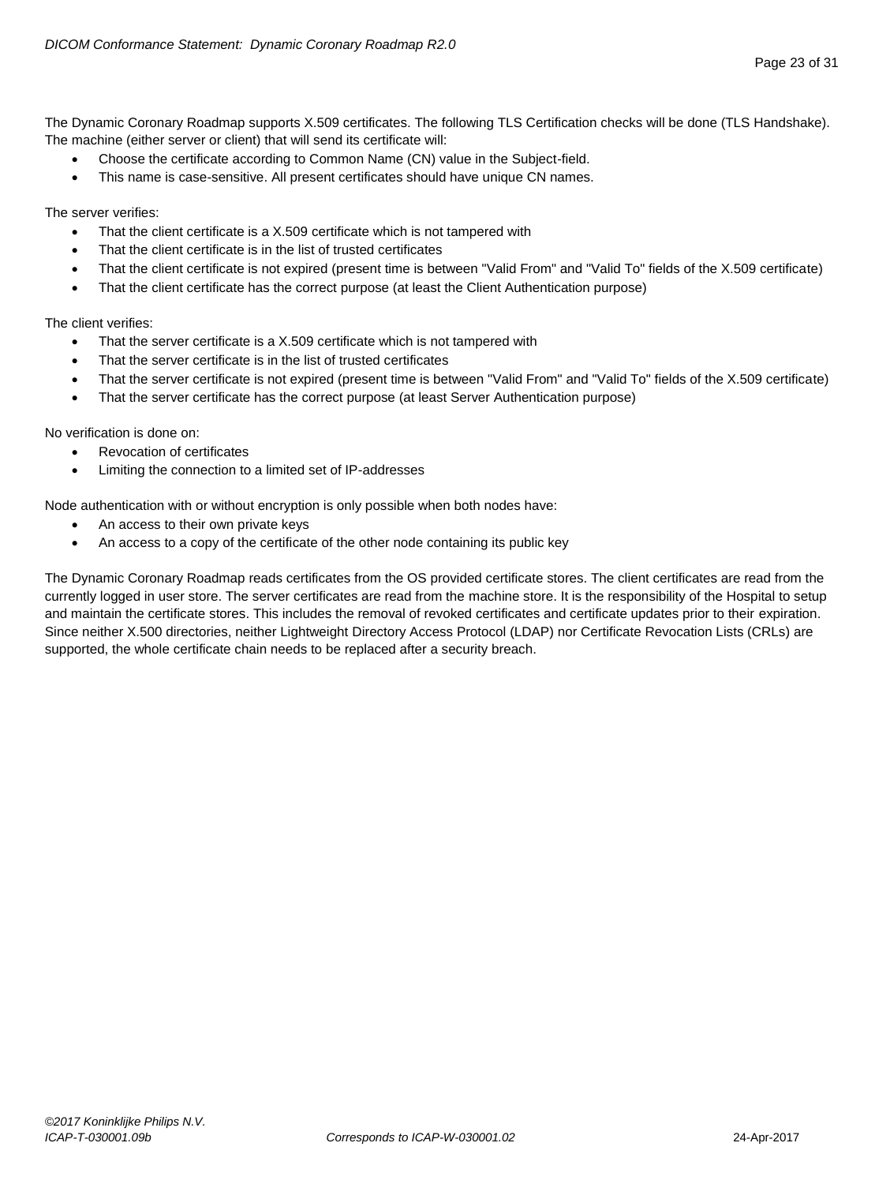The Dynamic Coronary Roadmap supports X.509 certificates. The following TLS Certification checks will be done (TLS Handshake). The machine (either server or client) that will send its certificate will:

- Choose the certificate according to Common Name (CN) value in the Subject-field.
- This name is case-sensitive. All present certificates should have unique CN names.

The server verifies:

- That the client certificate is a X.509 certificate which is not tampered with
- That the client certificate is in the list of trusted certificates
- That the client certificate is not expired (present time is between "Valid From" and "Valid To" fields of the X.509 certificate)
- That the client certificate has the correct purpose (at least the Client Authentication purpose)

The client verifies:

- That the server certificate is a X.509 certificate which is not tampered with
- That the server certificate is in the list of trusted certificates
- That the server certificate is not expired (present time is between "Valid From" and "Valid To" fields of the X.509 certificate)
- That the server certificate has the correct purpose (at least Server Authentication purpose)

No verification is done on:

- Revocation of certificates
- Limiting the connection to a limited set of IP-addresses

Node authentication with or without encryption is only possible when both nodes have:

- An access to their own private keys
- An access to a copy of the certificate of the other node containing its public key

The Dynamic Coronary Roadmap reads certificates from the OS provided certificate stores. The client certificates are read from the currently logged in user store. The server certificates are read from the machine store. It is the responsibility of the Hospital to setup and maintain the certificate stores. This includes the removal of revoked certificates and certificate updates prior to their expiration. Since neither X.500 directories, neither Lightweight Directory Access Protocol (LDAP) nor Certificate Revocation Lists (CRLs) are supported, the whole certificate chain needs to be replaced after a security breach.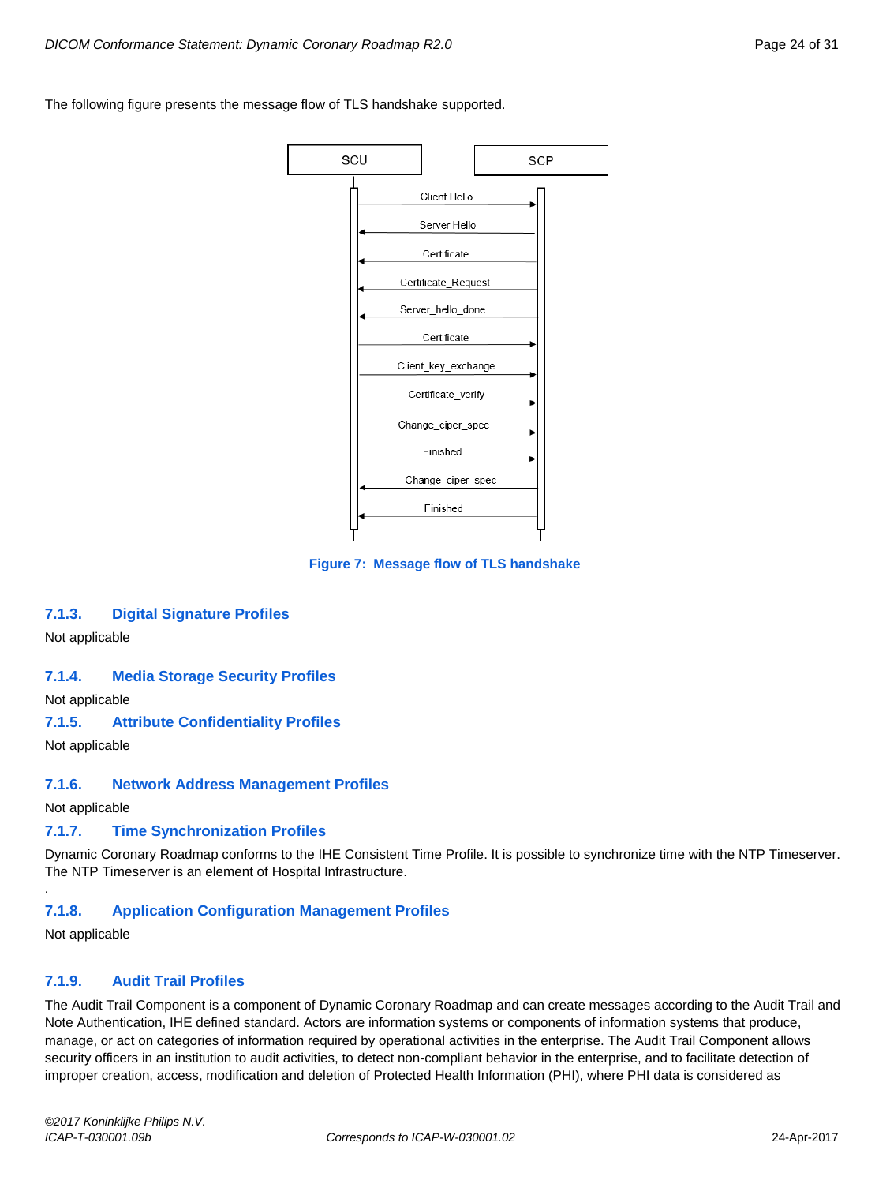The following figure presents the message flow of TLS handshake supported.



**Figure 7: Message flow of TLS handshake**

# <span id="page-23-0"></span>**7.1.3. Digital Signature Profiles**

Not applicable

# <span id="page-23-1"></span>**7.1.4. Media Storage Security Profiles**

Not applicable

# <span id="page-23-2"></span>**7.1.5. Attribute Confidentiality Profiles**

Not applicable

# <span id="page-23-3"></span>**7.1.6. Network Address Management Profiles**

Not applicable

# <span id="page-23-4"></span>**7.1.7. Time Synchronization Profiles**

Dynamic Coronary Roadmap conforms to the IHE Consistent Time Profile. It is possible to synchronize time with the NTP Timeserver. The NTP Timeserver is an element of Hospital Infrastructure.

# <span id="page-23-5"></span>**7.1.8. Application Configuration Management Profiles**

Not applicable

.

# <span id="page-23-6"></span>**7.1.9. Audit Trail Profiles**

The Audit Trail Component is a component of Dynamic Coronary Roadmap and can create messages according to the Audit Trail and Note Authentication, IHE defined standard. Actors are information systems or components of information systems that produce, manage, or act on categories of information required by operational activities in the enterprise. The Audit Trail Component allows security officers in an institution to audit activities, to detect non-compliant behavior in the enterprise, and to facilitate detection of improper creation, access, modification and deletion of Protected Health Information (PHI), where PHI data is considered as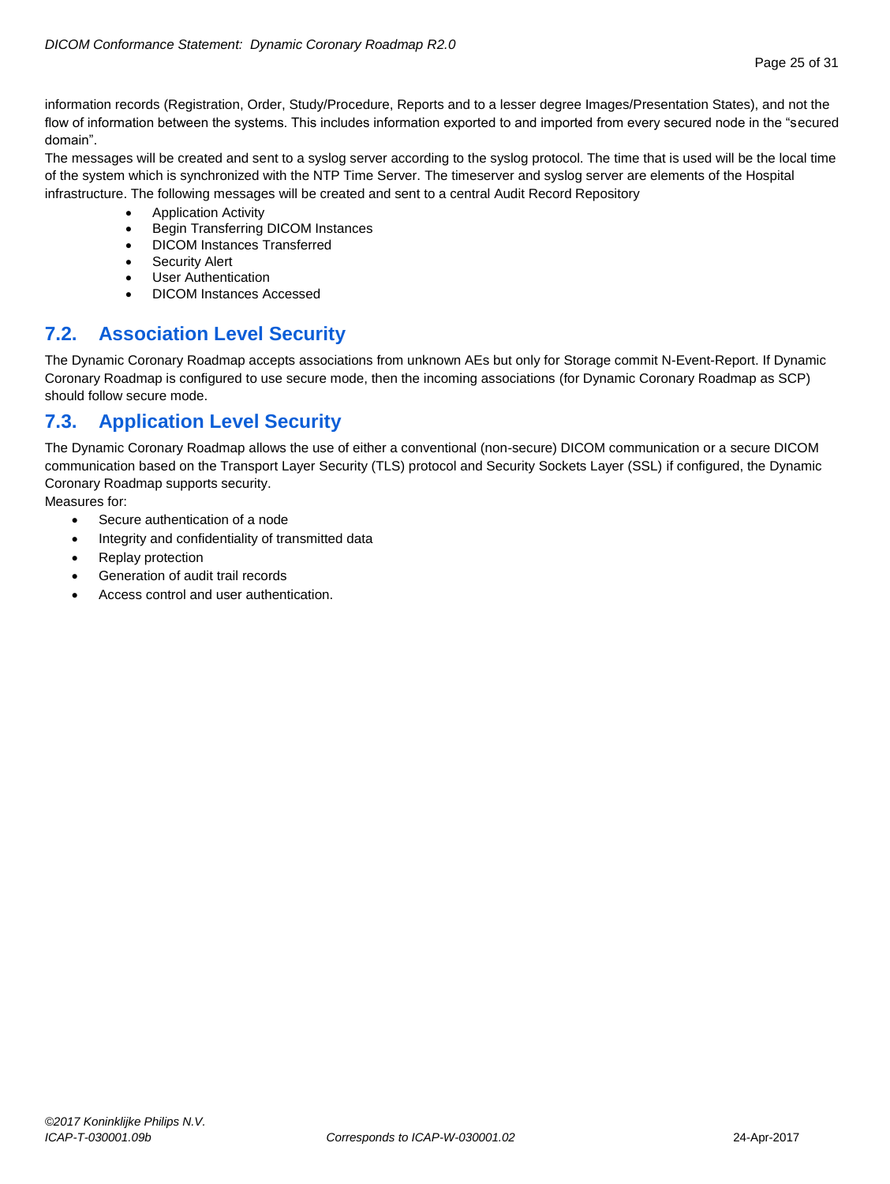information records (Registration, Order, Study/Procedure, Reports and to a lesser degree Images/Presentation States), and not the flow of information between the systems. This includes information exported to and imported from every secured node in the "secured domain".

The messages will be created and sent to a syslog server according to the syslog protocol. The time that is used will be the local time of the system which is synchronized with the NTP Time Server. The timeserver and syslog server are elements of the Hospital infrastructure. The following messages will be created and sent to a central Audit Record Repository

- Application Activity
- Begin Transferring DICOM Instances
- DICOM Instances Transferred
- Security Alert
- User Authentication
- DICOM Instances Accessed

# <span id="page-24-0"></span>**7.2. Association Level Security**

The Dynamic Coronary Roadmap accepts associations from unknown AEs but only for Storage commit N-Event-Report. If Dynamic Coronary Roadmap is configured to use secure mode, then the incoming associations (for Dynamic Coronary Roadmap as SCP) should follow secure mode.

# <span id="page-24-1"></span>**7.3. Application Level Security**

The Dynamic Coronary Roadmap allows the use of either a conventional (non-secure) DICOM communication or a secure DICOM communication based on the Transport Layer Security (TLS) protocol and Security Sockets Layer (SSL) if configured, the Dynamic Coronary Roadmap supports security.

Measures for:

- Secure authentication of a node
- Integrity and confidentiality of transmitted data
- Replay protection
- Generation of audit trail records
- Access control and user authentication.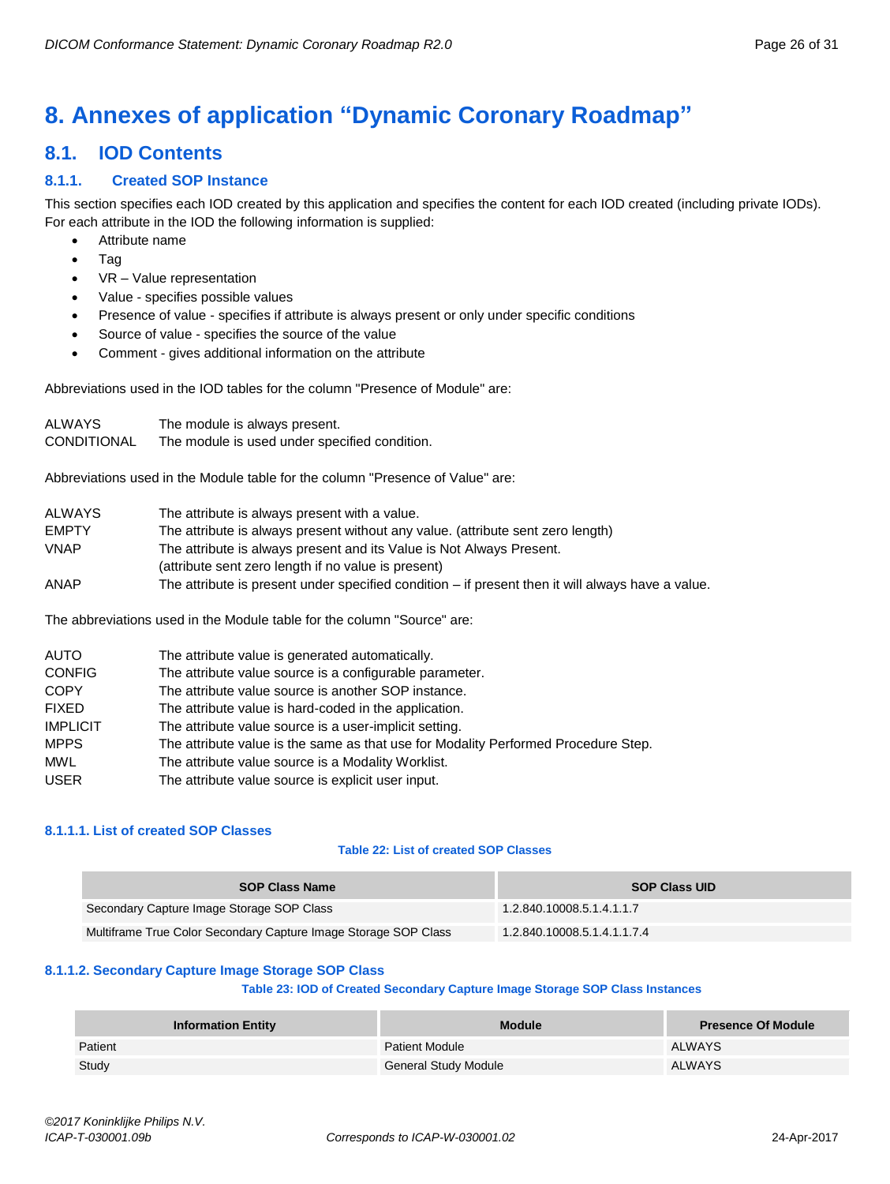# <span id="page-25-0"></span>**8. Annexes of application "Dynamic Coronary Roadmap"**

# <span id="page-25-1"></span>**8.1. IOD Contents**

# <span id="page-25-2"></span>**8.1.1. Created SOP Instance**

This section specifies each IOD created by this application and specifies the content for each IOD created (including private IODs). For each attribute in the IOD the following information is supplied:

- Attribute name
- Tag
- VR Value representation
- Value specifies possible values
- Presence of value specifies if attribute is always present or only under specific conditions
- Source of value specifies the source of the value
- Comment gives additional information on the attribute

Abbreviations used in the IOD tables for the column "Presence of Module" are:

| <b>ALWAYS</b> | The module is always present.                 |
|---------------|-----------------------------------------------|
| CONDITIONAL   | The module is used under specified condition. |

Abbreviations used in the Module table for the column "Presence of Value" are:

| <b>ALWAYS</b> | The attribute is always present with a value.                                                       |
|---------------|-----------------------------------------------------------------------------------------------------|
| <b>EMPTY</b>  | The attribute is always present without any value. (attribute sent zero length)                     |
| <b>VNAP</b>   | The attribute is always present and its Value is Not Always Present.                                |
|               | (attribute sent zero length if no value is present)                                                 |
| ANAP          | The attribute is present under specified condition $-$ if present then it will always have a value. |

The abbreviations used in the Module table for the column "Source" are:

| <b>AUTO</b>     | The attribute value is generated automatically.                                    |
|-----------------|------------------------------------------------------------------------------------|
| <b>CONFIG</b>   | The attribute value source is a configurable parameter.                            |
| <b>COPY</b>     | The attribute value source is another SOP instance.                                |
| <b>FIXED</b>    | The attribute value is hard-coded in the application.                              |
| <b>IMPLICIT</b> | The attribute value source is a user-implicit setting.                             |
| <b>MPPS</b>     | The attribute value is the same as that use for Modality Performed Procedure Step. |
| MWL             | The attribute value source is a Modality Worklist.                                 |
| <b>USER</b>     | The attribute value source is explicit user input.                                 |

# <span id="page-25-3"></span>**8.1.1.1. List of created SOP Classes**

# **Table 22: List of created SOP Classes**

| <b>SOP Class Name</b>                                           | <b>SOP Class UID</b>        |
|-----------------------------------------------------------------|-----------------------------|
| Secondary Capture Image Storage SOP Class                       | 1.2.840.10008.5.1.4.1.1.7   |
| Multiframe True Color Secondary Capture Image Storage SOP Class | 1.2.840.10008.5.1.4.1.1.7.4 |

# <span id="page-25-4"></span>**8.1.1.2. Secondary Capture Image Storage SOP Class**

# **Table 23: IOD of Created Secondary Capture Image Storage SOP Class Instances**

| <b>Information Entity</b> | <b>Module</b>               | <b>Presence Of Module</b> |
|---------------------------|-----------------------------|---------------------------|
| Patient                   | <b>Patient Module</b>       | <b>ALWAYS</b>             |
| Study                     | <b>General Study Module</b> | <b>ALWAYS</b>             |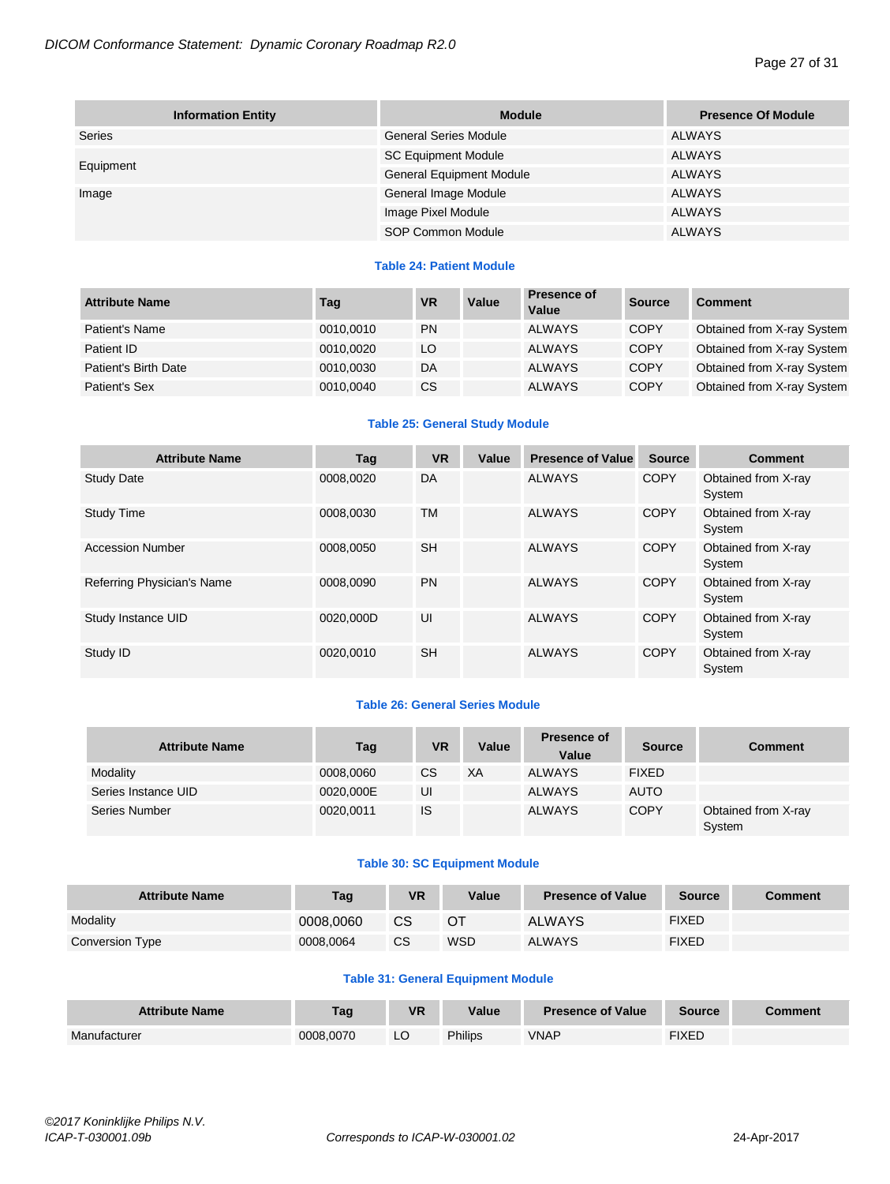| <b>Information Entity</b> | <b>Module</b>                   | <b>Presence Of Module</b> |
|---------------------------|---------------------------------|---------------------------|
| Series                    | <b>General Series Module</b>    | <b>ALWAYS</b>             |
|                           | <b>SC Equipment Module</b>      | ALWAYS                    |
| Equipment                 | <b>General Equipment Module</b> | <b>ALWAYS</b>             |
| Image                     | General Image Module            | ALWAYS                    |
|                           | Image Pixel Module              | <b>ALWAYS</b>             |
|                           | SOP Common Module               | <b>ALWAYS</b>             |

# **Table 24: Patient Module**

| <b>Attribute Name</b> | Tag       | <b>VR</b> | Value | <b>Presence of</b><br>Value | <b>Source</b> | <b>Comment</b>             |
|-----------------------|-----------|-----------|-------|-----------------------------|---------------|----------------------------|
| Patient's Name        | 0010,0010 | <b>PN</b> |       | <b>ALWAYS</b>               | <b>COPY</b>   | Obtained from X-ray System |
| Patient ID            | 0010,0020 | LO        |       | <b>ALWAYS</b>               | <b>COPY</b>   | Obtained from X-ray System |
| Patient's Birth Date  | 0010,0030 | DA        |       | <b>ALWAYS</b>               | <b>COPY</b>   | Obtained from X-ray System |
| Patient's Sex         | 0010,0040 | <b>CS</b> |       | <b>ALWAYS</b>               | <b>COPY</b>   | Obtained from X-ray System |

# **Table 25: General Study Module**

| <b>Attribute Name</b>      | Tag       | <b>VR</b> | Value | <b>Presence of Value</b> | <b>Source</b> | <b>Comment</b>                |
|----------------------------|-----------|-----------|-------|--------------------------|---------------|-------------------------------|
| <b>Study Date</b>          | 0008.0020 | DA        |       | <b>ALWAYS</b>            | <b>COPY</b>   | Obtained from X-ray<br>System |
| <b>Study Time</b>          | 0008.0030 | <b>TM</b> |       | <b>ALWAYS</b>            | <b>COPY</b>   | Obtained from X-ray<br>System |
| <b>Accession Number</b>    | 0008.0050 | <b>SH</b> |       | <b>ALWAYS</b>            | <b>COPY</b>   | Obtained from X-ray<br>System |
| Referring Physician's Name | 0008.0090 | <b>PN</b> |       | <b>ALWAYS</b>            | <b>COPY</b>   | Obtained from X-ray<br>System |
| Study Instance UID         | 0020.000D | UI        |       | <b>ALWAYS</b>            | <b>COPY</b>   | Obtained from X-ray<br>System |
| Study ID                   | 0020,0010 | <b>SH</b> |       | <b>ALWAYS</b>            | <b>COPY</b>   | Obtained from X-ray<br>System |

# **Table 26: General Series Module**

| <b>Attribute Name</b> | Tag       | <b>VR</b> | Value | Presence of<br>Value | <b>Source</b> | <b>Comment</b>                |
|-----------------------|-----------|-----------|-------|----------------------|---------------|-------------------------------|
| Modality              | 0008,0060 | <b>CS</b> | XA    | <b>ALWAYS</b>        | <b>FIXED</b>  |                               |
| Series Instance UID   | 0020,000E | UI        |       | <b>ALWAYS</b>        | <b>AUTO</b>   |                               |
| Series Number         | 0020.0011 | IS        |       | <b>ALWAYS</b>        | <b>COPY</b>   | Obtained from X-ray<br>System |

# **Table 30: SC Equipment Module**

| <b>Attribute Name</b> | Taq       | VR | Value      | <b>Presence of Value</b> | <b>Source</b> | Comment |
|-----------------------|-----------|----|------------|--------------------------|---------------|---------|
| Modality              | 0008.0060 | CS | ОT         | <b>ALWAYS</b>            | <b>FIXED</b>  |         |
| Conversion Type       | 0008.0064 | CS | <b>WSD</b> | <b>ALWAYS</b>            | <b>FIXED</b>  |         |

# **Table 31: General Equipment Module**

| <b>Attribute Name</b> | Tag       | <b>VR</b> | Value          | <b>Presence of Value</b> | Source | <b>Comment</b> |
|-----------------------|-----------|-----------|----------------|--------------------------|--------|----------------|
| Manufacturer          | 0008.0070 | LŲ        | <b>Philips</b> | <b>VNAP</b>              | FIXED  |                |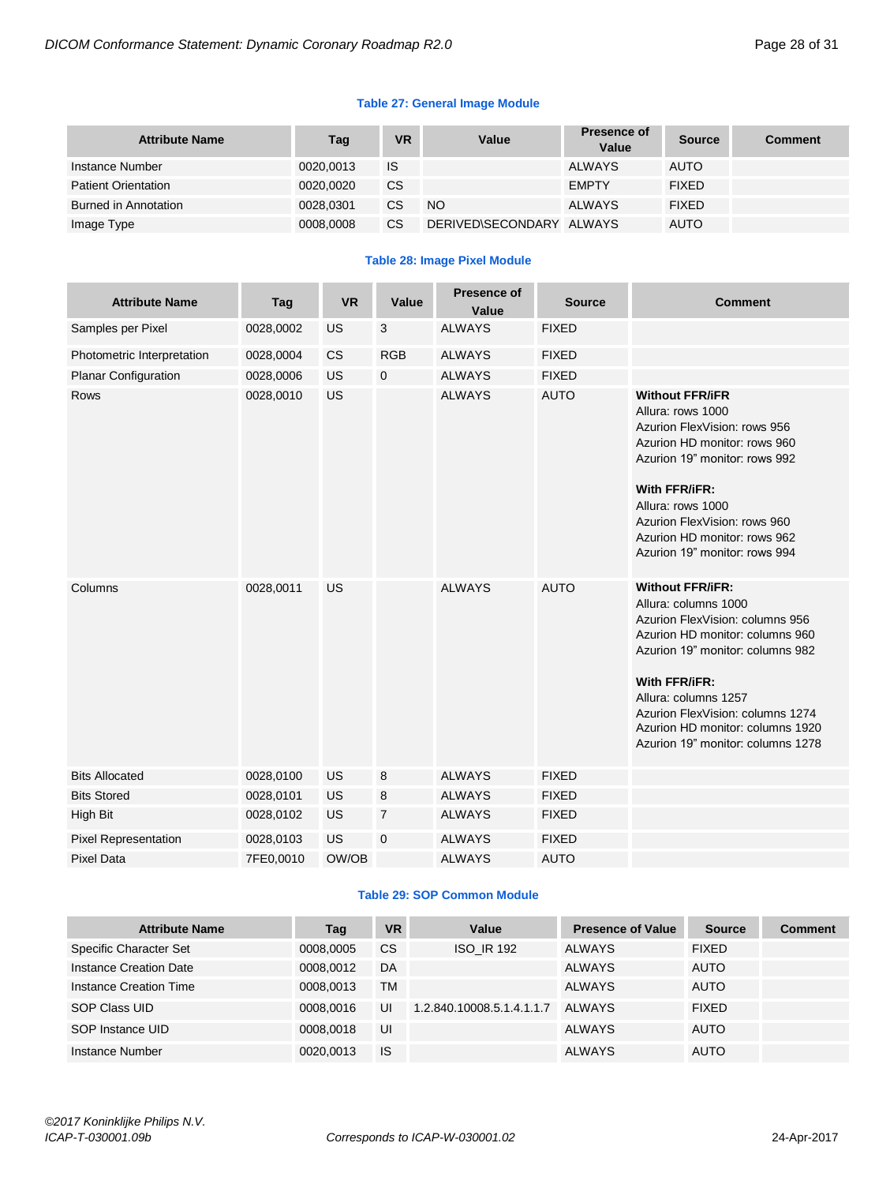# **Table 27: General Image Module**

| <b>Attribute Name</b>      | Tag       | <b>VR</b> | Value                    | Presence of<br>Value | <b>Source</b> | <b>Comment</b> |
|----------------------------|-----------|-----------|--------------------------|----------------------|---------------|----------------|
| Instance Number            | 0020,0013 | IS        |                          | <b>ALWAYS</b>        | <b>AUTO</b>   |                |
| <b>Patient Orientation</b> | 0020.0020 | <b>CS</b> |                          | <b>EMPTY</b>         | <b>FIXED</b>  |                |
| Burned in Annotation       | 0028,0301 | СS        | <b>NO</b>                | <b>ALWAYS</b>        | <b>FIXED</b>  |                |
| Image Type                 | 0008,0008 | CS.       | DERIVED\SECONDARY ALWAYS |                      | <b>AUTO</b>   |                |

# **Table 28: Image Pixel Module**

| <b>Attribute Name</b>       | Tag       | <b>VR</b> | Value          | <b>Presence of</b><br>Value | <b>Source</b> | <b>Comment</b>                                                                                                                                                                                                                                                                                                  |
|-----------------------------|-----------|-----------|----------------|-----------------------------|---------------|-----------------------------------------------------------------------------------------------------------------------------------------------------------------------------------------------------------------------------------------------------------------------------------------------------------------|
| Samples per Pixel           | 0028,0002 | <b>US</b> | 3              | <b>ALWAYS</b>               | <b>FIXED</b>  |                                                                                                                                                                                                                                                                                                                 |
| Photometric Interpretation  | 0028,0004 | <b>CS</b> | <b>RGB</b>     | <b>ALWAYS</b>               | <b>FIXED</b>  |                                                                                                                                                                                                                                                                                                                 |
| <b>Planar Configuration</b> | 0028,0006 | <b>US</b> | $\mathbf 0$    | <b>ALWAYS</b>               | <b>FIXED</b>  |                                                                                                                                                                                                                                                                                                                 |
| <b>Rows</b>                 | 0028,0010 | <b>US</b> |                | <b>ALWAYS</b>               | <b>AUTO</b>   | <b>Without FFR/iFR</b><br>Allura: rows 1000<br>Azurion FlexVision: rows 956<br>Azurion HD monitor: rows 960<br>Azurion 19" monitor: rows 992<br>With FFR/iFR:<br>Allura: rows 1000<br>Azurion FlexVision: rows 960<br>Azurion HD monitor: rows 962<br>Azurion 19" monitor: rows 994                             |
| Columns                     | 0028,0011 | US        |                | <b>ALWAYS</b>               | <b>AUTO</b>   | <b>Without FFR/iFR:</b><br>Allura: columns 1000<br>Azurion FlexVision: columns 956<br>Azurion HD monitor: columns 960<br>Azurion 19" monitor: columns 982<br>With FFR/iFR:<br>Allura: columns 1257<br>Azurion FlexVision: columns 1274<br>Azurion HD monitor: columns 1920<br>Azurion 19" monitor: columns 1278 |
| <b>Bits Allocated</b>       | 0028,0100 | <b>US</b> | 8              | <b>ALWAYS</b>               | <b>FIXED</b>  |                                                                                                                                                                                                                                                                                                                 |
| <b>Bits Stored</b>          | 0028,0101 | <b>US</b> | 8              | <b>ALWAYS</b>               | <b>FIXED</b>  |                                                                                                                                                                                                                                                                                                                 |
| <b>High Bit</b>             | 0028,0102 | US        | $\overline{7}$ | <b>ALWAYS</b>               | <b>FIXED</b>  |                                                                                                                                                                                                                                                                                                                 |
| <b>Pixel Representation</b> | 0028,0103 | US        | $\mathbf 0$    | <b>ALWAYS</b>               | <b>FIXED</b>  |                                                                                                                                                                                                                                                                                                                 |
| <b>Pixel Data</b>           | 7FE0,0010 | OW/OB     |                | <b>ALWAYS</b>               | <b>AUTO</b>   |                                                                                                                                                                                                                                                                                                                 |

# **Table 29: SOP Common Module**

| <b>Attribute Name</b>  | Tag       | <b>VR</b> | Value                     | <b>Presence of Value</b> | <b>Source</b> | <b>Comment</b> |
|------------------------|-----------|-----------|---------------------------|--------------------------|---------------|----------------|
| Specific Character Set | 0008,0005 | CS        | <b>ISO IR 192</b>         | <b>ALWAYS</b>            | <b>FIXED</b>  |                |
| Instance Creation Date | 0008.0012 | DA        |                           | <b>ALWAYS</b>            | <b>AUTO</b>   |                |
| Instance Creation Time | 0008.0013 | TM        |                           | <b>ALWAYS</b>            | <b>AUTO</b>   |                |
| SOP Class UID          | 0008.0016 | UI        | 1.2.840.10008.5.1.4.1.1.7 | ALWAYS                   | <b>FIXED</b>  |                |
| SOP Instance UID       | 0008.0018 | UI        |                           | <b>ALWAYS</b>            | <b>AUTO</b>   |                |
| Instance Number        | 0020.0013 | <b>IS</b> |                           | <b>ALWAYS</b>            | <b>AUTO</b>   |                |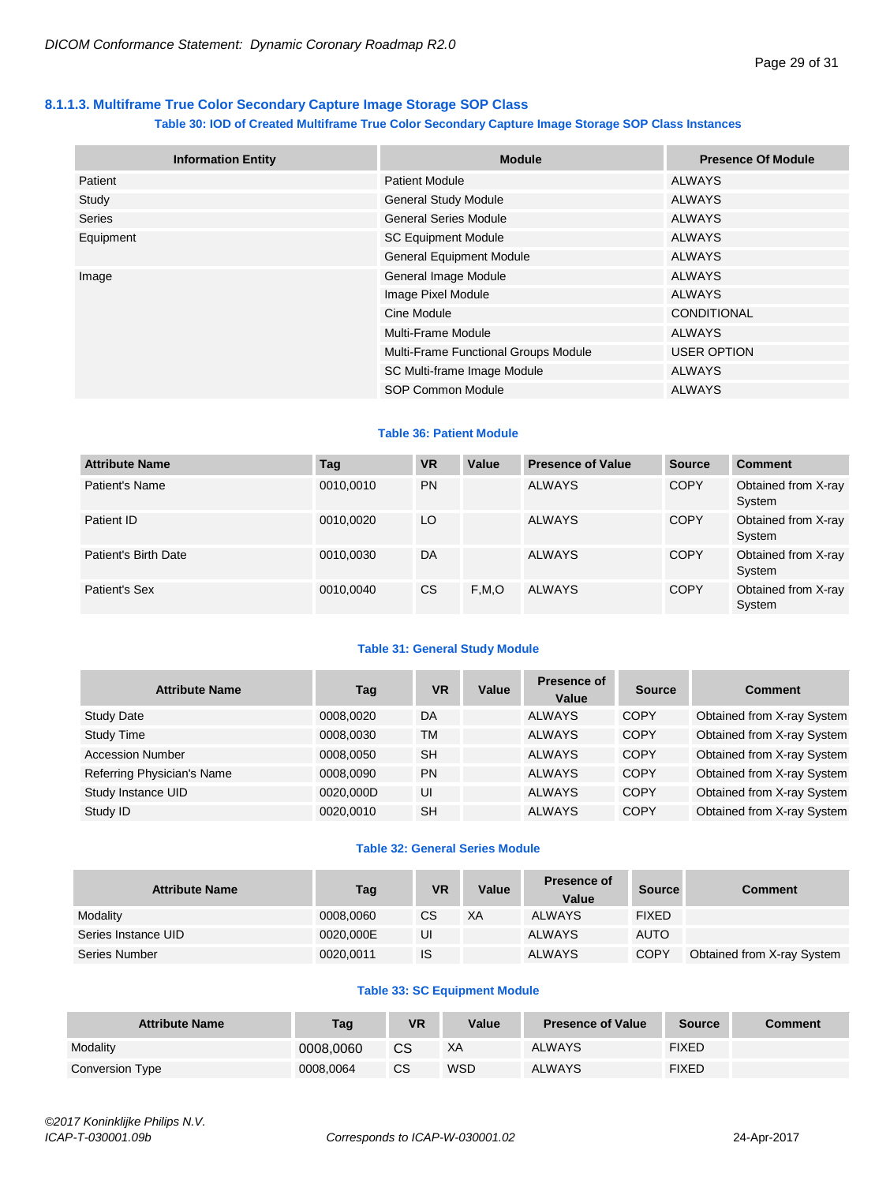# <span id="page-28-0"></span>**8.1.1.3. Multiframe True Color Secondary Capture Image Storage SOP Class**

# **Table 30: IOD of Created Multiframe True Color Secondary Capture Image Storage SOP Class Instances**

| <b>Information Entity</b> | <b>Module</b>                        | <b>Presence Of Module</b> |
|---------------------------|--------------------------------------|---------------------------|
| Patient                   | <b>Patient Module</b>                | <b>ALWAYS</b>             |
| Study                     | <b>General Study Module</b>          | <b>ALWAYS</b>             |
| Series                    | <b>General Series Module</b>         | <b>ALWAYS</b>             |
| Equipment                 | <b>SC Equipment Module</b>           | ALWAYS                    |
|                           | <b>General Equipment Module</b>      | <b>ALWAYS</b>             |
| Image                     | General Image Module                 | <b>ALWAYS</b>             |
|                           | Image Pixel Module                   | <b>ALWAYS</b>             |
|                           | Cine Module                          | CONDITIONAL               |
|                           | Multi-Frame Module                   | ALWAYS                    |
|                           | Multi-Frame Functional Groups Module | <b>USER OPTION</b>        |
|                           | SC Multi-frame Image Module          | ALWAYS                    |
|                           | SOP Common Module                    | <b>ALWAYS</b>             |

# **Table 36: Patient Module**

| <b>Attribute Name</b> | Tag       | <b>VR</b> | Value | <b>Presence of Value</b> | <b>Source</b> | <b>Comment</b>                |
|-----------------------|-----------|-----------|-------|--------------------------|---------------|-------------------------------|
| Patient's Name        | 0010,0010 | <b>PN</b> |       | <b>ALWAYS</b>            | <b>COPY</b>   | Obtained from X-ray<br>System |
| Patient ID            | 0010,0020 | LO        |       | <b>ALWAYS</b>            | <b>COPY</b>   | Obtained from X-ray<br>System |
| Patient's Birth Date  | 0010,0030 | DA        |       | <b>ALWAYS</b>            | <b>COPY</b>   | Obtained from X-ray<br>System |
| Patient's Sex         | 0010.0040 | <b>CS</b> | F,M,O | <b>ALWAYS</b>            | <b>COPY</b>   | Obtained from X-ray<br>System |

# **Table 31: General Study Module**

| <b>Attribute Name</b>      | Tag       | <b>VR</b> | Value | Presence of<br>Value | <b>Source</b> | <b>Comment</b>             |
|----------------------------|-----------|-----------|-------|----------------------|---------------|----------------------------|
| <b>Study Date</b>          | 0008.0020 | DA        |       | <b>ALWAYS</b>        | <b>COPY</b>   | Obtained from X-ray System |
| <b>Study Time</b>          | 0008.0030 | TM        |       | <b>ALWAYS</b>        | <b>COPY</b>   | Obtained from X-ray System |
| <b>Accession Number</b>    | 0008.0050 | <b>SH</b> |       | <b>ALWAYS</b>        | <b>COPY</b>   | Obtained from X-ray System |
| Referring Physician's Name | 0008.0090 | <b>PN</b> |       | <b>ALWAYS</b>        | <b>COPY</b>   | Obtained from X-ray System |
| Study Instance UID         | 0020,000D | UI        |       | <b>ALWAYS</b>        | <b>COPY</b>   | Obtained from X-ray System |
| Study ID                   | 0020.0010 | <b>SH</b> |       | <b>ALWAYS</b>        | <b>COPY</b>   | Obtained from X-ray System |

# **Table 32: General Series Module**

| <b>Attribute Name</b> | Tag       | <b>VR</b>     | Value | Presence of<br>Value | Source       | <b>Comment</b>             |
|-----------------------|-----------|---------------|-------|----------------------|--------------|----------------------------|
| Modality              | 0008.0060 | <sub>CS</sub> | XA    | <b>ALWAYS</b>        | <b>FIXED</b> |                            |
| Series Instance UID   | 0020,000E | UI            |       | <b>ALWAYS</b>        | <b>AUTO</b>  |                            |
| Series Number         | 0020,0011 | <b>IS</b>     |       | <b>ALWAYS</b>        | <b>COPY</b>  | Obtained from X-ray System |

# **Table 33: SC Equipment Module**

| <b>Attribute Name</b> | <b>Tag</b> | VR | Value      | <b>Presence of Value</b> | <b>Source</b> | Comment |
|-----------------------|------------|----|------------|--------------------------|---------------|---------|
| Modality              | 0008.0060  | СS | XA         | <b>ALWAYS</b>            | <b>FIXED</b>  |         |
| Conversion Type       | 0008.0064  | CS | <b>WSD</b> | <b>ALWAYS</b>            | <b>FIXED</b>  |         |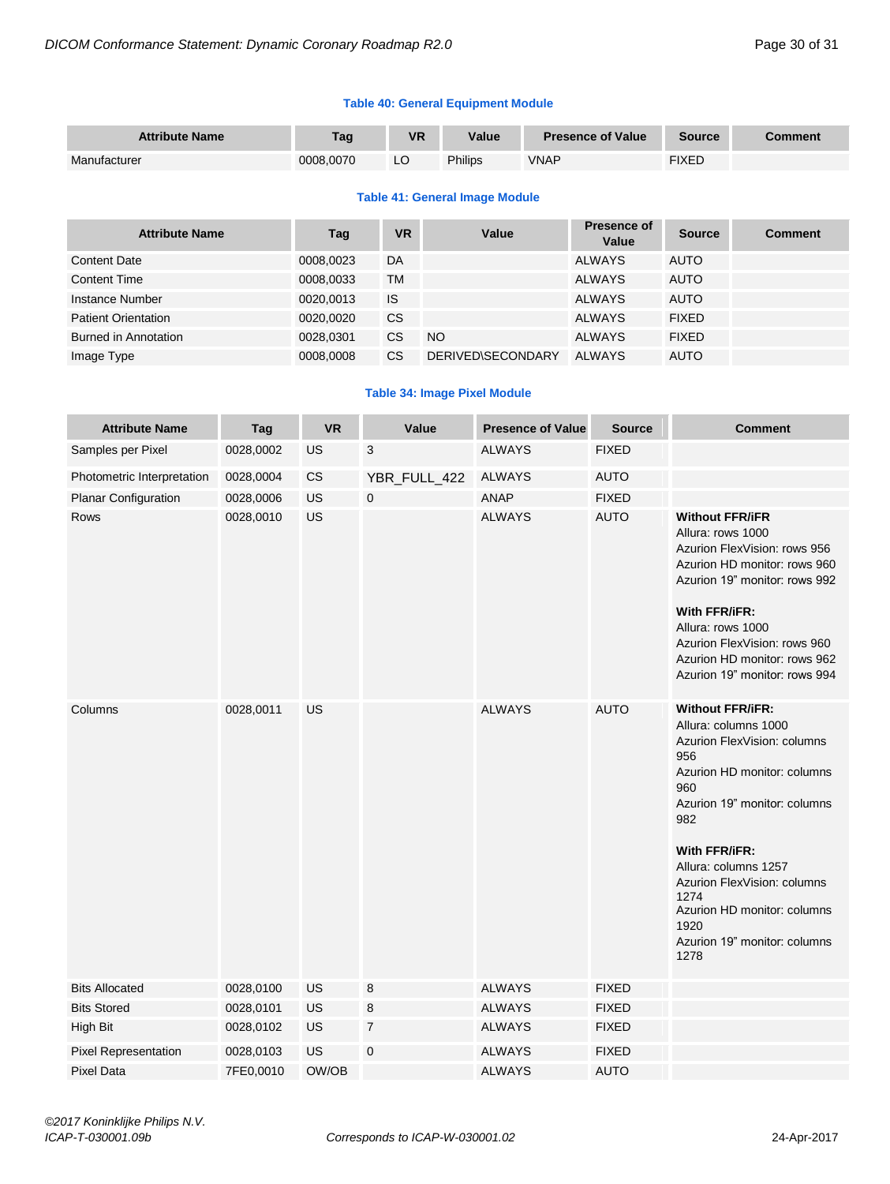# **Table 40: General Equipment Module**

| <b>Attribute Name</b> | Tag       | <b>VR</b> | Value   | <b>Presence of Value</b> | <b>Source</b> | Comment |
|-----------------------|-----------|-----------|---------|--------------------------|---------------|---------|
| Manufacturer          | 0008.0070 | LC        | Philips | VNAP                     | <b>FIXED</b>  |         |

# **Table 41: General Image Module**

| <b>Attribute Name</b>      | Tag       | <b>VR</b> | Value             | <b>Presence of</b><br>Value | <b>Source</b> | <b>Comment</b> |
|----------------------------|-----------|-----------|-------------------|-----------------------------|---------------|----------------|
| <b>Content Date</b>        | 0008,0023 | DA        |                   | <b>ALWAYS</b>               | <b>AUTO</b>   |                |
| <b>Content Time</b>        | 0008.0033 | ТM        |                   | <b>ALWAYS</b>               | <b>AUTO</b>   |                |
| Instance Number            | 0020.0013 | IS        |                   | <b>ALWAYS</b>               | <b>AUTO</b>   |                |
| <b>Patient Orientation</b> | 0020.0020 | CS        |                   | <b>ALWAYS</b>               | <b>FIXED</b>  |                |
| Burned in Annotation       | 0028,0301 | <b>CS</b> | <b>NO</b>         | <b>ALWAYS</b>               | <b>FIXED</b>  |                |
| Image Type                 | 0008.0008 | CS        | DERIVED\SECONDARY | <b>ALWAYS</b>               | <b>AUTO</b>   |                |

# **Table 34: Image Pixel Module**

| <b>Attribute Name</b>       | Tag       | <b>VR</b> | Value          | <b>Presence of Value</b> | <b>Source</b> | <b>Comment</b>                                                                                                                                                                                                                                                                                                                    |
|-----------------------------|-----------|-----------|----------------|--------------------------|---------------|-----------------------------------------------------------------------------------------------------------------------------------------------------------------------------------------------------------------------------------------------------------------------------------------------------------------------------------|
| Samples per Pixel           | 0028,0002 | US        | 3              | <b>ALWAYS</b>            | <b>FIXED</b>  |                                                                                                                                                                                                                                                                                                                                   |
| Photometric Interpretation  | 0028,0004 | <b>CS</b> | YBR_FULL_422   | <b>ALWAYS</b>            | <b>AUTO</b>   |                                                                                                                                                                                                                                                                                                                                   |
| <b>Planar Configuration</b> | 0028,0006 | <b>US</b> | $\mathsf 0$    | <b>ANAP</b>              | <b>FIXED</b>  |                                                                                                                                                                                                                                                                                                                                   |
| Rows                        | 0028,0010 | <b>US</b> |                | <b>ALWAYS</b>            | <b>AUTO</b>   | <b>Without FFR/iFR</b><br>Allura: rows 1000<br>Azurion FlexVision: rows 956<br>Azurion HD monitor: rows 960<br>Azurion 19" monitor: rows 992<br>With FFR/iFR:<br>Allura: rows 1000<br>Azurion FlexVision: rows 960<br>Azurion HD monitor: rows 962<br>Azurion 19" monitor: rows 994                                               |
| Columns                     | 0028,0011 | <b>US</b> |                | <b>ALWAYS</b>            | <b>AUTO</b>   | <b>Without FFR/iFR:</b><br>Allura: columns 1000<br>Azurion FlexVision: columns<br>956<br>Azurion HD monitor: columns<br>960<br>Azurion 19" monitor: columns<br>982<br>With FFR/iFR:<br>Allura: columns 1257<br>Azurion FlexVision: columns<br>1274<br>Azurion HD monitor: columns<br>1920<br>Azurion 19" monitor: columns<br>1278 |
| <b>Bits Allocated</b>       | 0028,0100 | <b>US</b> | 8              | <b>ALWAYS</b>            | <b>FIXED</b>  |                                                                                                                                                                                                                                                                                                                                   |
| <b>Bits Stored</b>          | 0028,0101 | <b>US</b> | 8              | <b>ALWAYS</b>            | <b>FIXED</b>  |                                                                                                                                                                                                                                                                                                                                   |
| High Bit                    | 0028,0102 | US        | $\overline{7}$ | <b>ALWAYS</b>            | <b>FIXED</b>  |                                                                                                                                                                                                                                                                                                                                   |
| <b>Pixel Representation</b> | 0028,0103 | <b>US</b> | $\mathbf 0$    | <b>ALWAYS</b>            | <b>FIXED</b>  |                                                                                                                                                                                                                                                                                                                                   |
| <b>Pixel Data</b>           | 7FE0,0010 | OW/OB     |                | <b>ALWAYS</b>            | <b>AUTO</b>   |                                                                                                                                                                                                                                                                                                                                   |